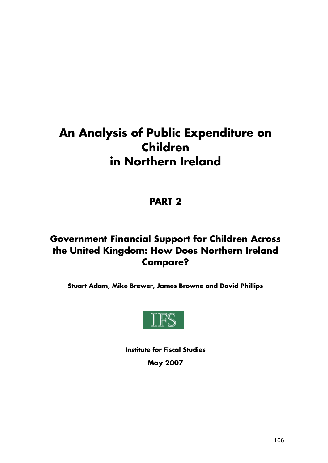# **An Analysis of Public Expenditure on Children in Northern Ireland**

#### **PART 2**

#### **Government Financial Support for Children Across the United Kingdom: How Does Northern Ireland Compare?**

**Stuart Adam, Mike Brewer, James Browne and David Phillips** 



**Institute for Fiscal Studies May 2007**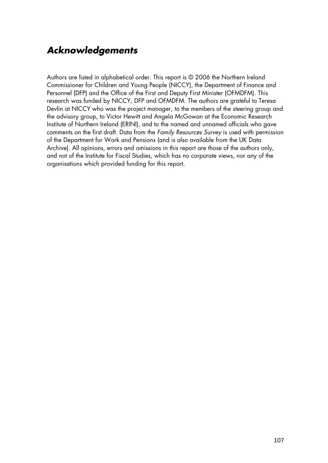#### *Acknowledgements*

Authors are listed in alphabetical order. This report is © 2006 the Northern Ireland Commissioner for Children and Young People (NICCY), the Department of Finance and Personnel (DFP) and the Office of the First and Deputy First Minister (OFMDFM). This research was funded by NICCY, DFP and OFMDFM. The authors are grateful to Teresa Devlin at NICCY who was the project manager, to the members of the steering group and the advisory group, to Victor Hewitt and Angela McGowan at the Economic Research Institute of Northern Ireland (ERINI), and to the named and unnamed officials who gave comments on the first draft. Data from the *Family Resources Survey* is used with permission of the Department for Work and Pensions (and is also available from the UK Data Archive). All opinions, errors and omissions in this report are those of the authors only, and not of the Institute for Fiscal Studies, which has no corporate views, nor any of the organisations which provided funding for this report.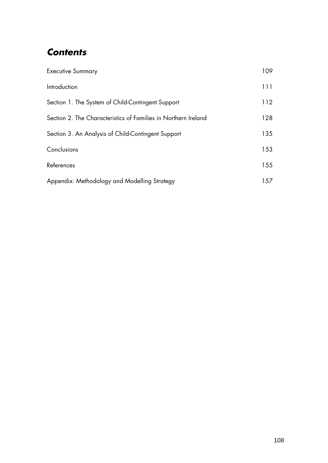#### *Contents*

| <b>Executive Summary</b>                                       | 109 |
|----------------------------------------------------------------|-----|
| Introduction                                                   | 111 |
| Section 1. The System of Child-Contingent Support              | 112 |
| Section 2. The Characteristics of Families in Northern Ireland | 128 |
| Section 3. An Analysis of Child-Contingent Support             | 135 |
| Conclusions                                                    | 153 |
| References                                                     | 155 |
| Appendix: Methodology and Modelling Strategy                   | 157 |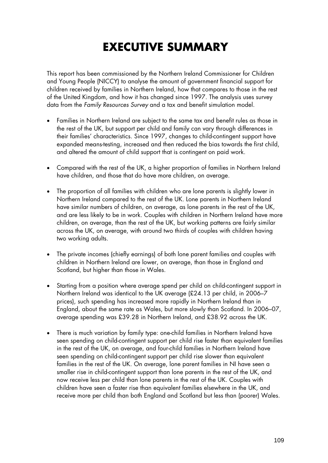# **EXECUTIVE SUMMARY**

This report has been commissioned by the Northern Ireland Commissioner for Children and Young People (NICCY) to analyse the amount of government financial support for children received by families in Northern Ireland, how that compares to those in the rest of the United Kingdom, and how it has changed since 1997. The analysis uses survey data from the *Family Resources Survey* and a tax and benefit simulation model.

- Families in Northern Ireland are subject to the same tax and benefit rules as those in the rest of the UK, but support per child and family can vary through differences in their families' characteristics. Since 1997, changes to child-contingent support have expanded means-testing, increased and then reduced the bias towards the first child, and altered the amount of child support that is contingent on paid work.
- Compared with the rest of the UK, a higher proportion of families in Northern Ireland have children, and those that do have more children, on average.
- The proportion of all families with children who are lone parents is slightly lower in Northern Ireland compared to the rest of the UK. Lone parents in Northern Ireland have similar numbers of children, on average, as lone parents in the rest of the UK, and are less likely to be in work. Couples with children in Northern Ireland have more children, on average, than the rest of the UK, but working patterns are fairly similar across the UK, on average, with around two thirds of couples with children having two working adults.
- The private incomes (chiefly earnings) of both lone parent families and couples with children in Northern Ireland are lower, on average, than those in England and Scotland, but higher than those in Wales.
- Starting from a position where average spend per child on child-contingent support in Northern Ireland was identical to the UK average (£24.13 per child, in 2006–7 prices), such spending has increased more rapidly in Northern Ireland than in England, about the same rate as Wales, but more slowly than Scotland. In 2006–07, average spending was £39.28 in Northern Ireland, and £38.92 across the UK.
- There is much variation by family type: one-child families in Northern Ireland have seen spending on child-contingent support per child rise faster than equivalent families in the rest of the UK, on average, and four-child families in Northern Ireland have seen spending on child-contingent support per child rise slower than equivalent families in the rest of the UK. On average, lone parent families in NI have seen a smaller rise in child-contingent support than lone parents in the rest of the UK, and now receive less per child than lone parents in the rest of the UK. Couples with children have seen a faster rise than equivalent families elsewhere in the UK, and receive more per child than both England and Scotland but less than (poorer) Wales.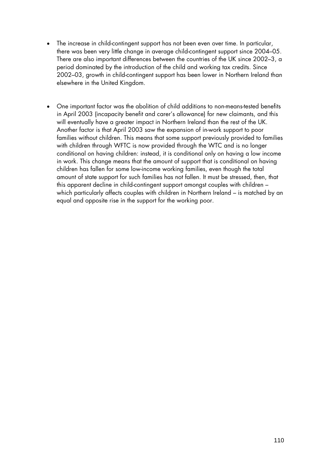- The increase in child-contingent support has not been even over time. In particular, there was been very little change in average child-contingent support since 2004–05. There are also important differences between the countries of the UK since 2002–3, a period dominated by the introduction of the child and working tax credits. Since 2002–03, growth in child-contingent support has been lower in Northern Ireland than elsewhere in the United Kingdom.
- One important factor was the abolition of child additions to non-means-tested benefits in April 2003 (incapacity benefit and carer's allowance) for new claimants, and this will eventually have a greater impact in Northern Ireland than the rest of the UK. Another factor is that April 2003 saw the expansion of in-work support to poor families without children. This means that some support previously provided to families with children through WFTC is now provided through the WTC and is no longer conditional on having children: instead, it is conditional only on having a low income in work. This change means that the amount of support that is conditional on having children has fallen for some low-income working families, even though the total amount of state support for such families has not fallen. It must be stressed, then, that this apparent decline in child-contingent support amongst couples with children – which particularly affects couples with children in Northern Ireland – is matched by an equal and opposite rise in the support for the working poor.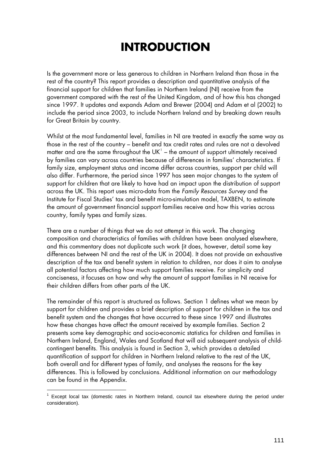# **INTRODUCTION**

Is the government more or less generous to children in Northern Ireland than those in the rest of the country? This report provides a description and quantitative analysis of the financial support for children that families in Northern Ireland (NI) receive from the government compared with the rest of the United Kingdom, and of how this has changed since 1997. It updates and expands Adam and Brewer (2004) and Adam et al (2002) to include the period since 2003, to include Northern Ireland and by breaking down results for Great Britain by country.

Whilst at the most fundamental level, families in NI are treated in exactly the same way as those in the rest of the country – benefit and tax credit rates and rules are not a devolved matter and are the same throughout the UK $<sup>1</sup>$  $<sup>1</sup>$  $<sup>1</sup>$  – the amount of support ultimately received</sup> by families can vary across countries because of differences in families' characteristics. If family size, employment status and income differ across countries, support per child will also differ. Furthermore, the period since 1997 has seen major changes to the system of support for children that are likely to have had an impact upon the distribution of support across the UK. This report uses micro-data from the *Family Resources Survey* and the Institute for Fiscal Studies' tax and benefit micro-simulation model, TAXBEN, to estimate the amount of government financial support families receive and how this varies across country, family types and family sizes.

There are a number of things that we do not attempt in this work. The changing composition and characteristics of families with children have been analysed elsewhere, and this commentary does not duplicate such work (it does, however, detail some key differences between NI and the rest of the UK in 2004). It does not provide an exhaustive description of the tax and benefit system in relation to children, nor does it aim to analyse all potential factors affecting how much support families receive. For simplicity and conciseness, it focuses on how and why the amount of support families in NI receive for their children differs from other parts of the UK.

The remainder of this report is structured as follows. Section 1 defines what we mean by support for children and provides a brief description of support for children in the tax and benefit system and the changes that have occurred to these since 1997 and illustrates how these changes have affect the amount received by example families. Section 2 presents some key demographic and socio-economic statistics for children and families in Northern Ireland, England, Wales and Scotland that will aid subsequent analysis of childcontingent benefits. This analysis is found in Section 3, which provides a detailed quantification of support for children in Northern Ireland relative to the rest of the UK, both overall and for different types of family, and analyses the reasons for the key differences. This is followed by conclusions. Additional information on our methodology can be found in the Appendix.

 $\overline{a}$ 

<span id="page-5-0"></span> $1$  Except local tax (domestic rates in Northern Ireland, council tax elsewhere during the period under consideration).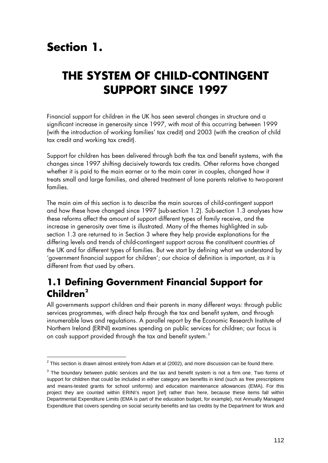### **Section 1.**

 $\overline{a}$ 

### **THE SYSTEM OF CHILD-CONTINGENT SUPPORT SINCE 1997**

Financial support for children in the UK has seen several changes in structure and a significant increase in generosity since 1997, with most of this occurring between 1999 (with the introduction of working families' tax credit) and 2003 (with the creation of child tax credit and working tax credit).

Support for children has been delivered through both the tax and benefit systems, with the changes since 1997 shifting decisively towards tax credits. Other reforms have changed whether it is paid to the main earner or to the main carer in couples, changed how it treats small and large families, and altered treatment of lone parents relative to two-parent families.

The main aim of this section is to describe the main sources of child-contingent support and how these have changed since 1997 (sub-section 1.2). Sub-section 1.3 analyses how these reforms affect the amount of support different types of family receive, and the increase in generosity over time is illustrated. Many of the themes highlighted in subsection 1.3 are returned to in Section 3 where they help provide explanations for the differing levels and trends of child-contingent support across the constituent countries of the UK and for different types of families. But we start by defining what we understand by 'government financial support for children'; our choice of definition is important, as it is different from that used by others.

#### **1.1 Defining Government Financial Support for Children[2](#page-6-0)**

All governments support children and their parents in many different ways: through public services programmes, with direct help through the tax and benefit system, and through innumerable laws and regulations. A parallel report by the Economic Research Institute of Northern Ireland (ERINI) examines spending on public services for children; our focus is on cash support provided through the tax and benefit system.<sup>[3](#page-6-1)</sup>

<span id="page-6-0"></span> $2$  This section is drawn almost entirely from Adam et al (2002), and more discussion can be found there.

<span id="page-6-1"></span> $3$  The boundary between public services and the tax and benefit system is not a firm one. Two forms of support for children that could be included in either category are benefits in kind (such as free prescriptions and means-tested grants for school uniforms) and education maintenance allowances (EMA). For this project they are counted within ERINI's report [ref] rather than here, because these items fall within Departmental Expenditure Limits (EMA is part of the education budget, for example), not Annually Managed Expenditure that covers spending on social security benefits and tax credits by the Department for Work and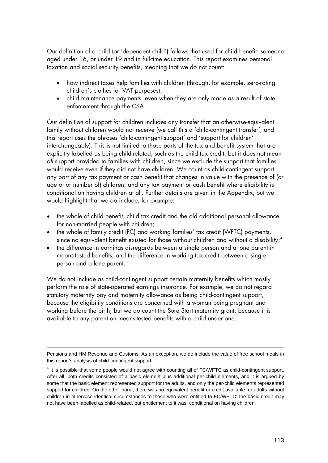Our definition of a child (or 'dependent child') follows that used for child benefit: someone aged under 16, or under 19 and in full-time education. This report examines personal taxation and social security benefits, meaning that we do not count:

- how indirect taxes help families with children (through, for example, zero-rating children's clothes for VAT purposes);
- child maintenance payments, even when they are only made as a result of state enforcement through the CSA.

Our definition of support for children includes any transfer that an otherwise-equivalent family without children would not receive (we call this a 'child-contingent transfer', and this report uses the phrases 'child-contingent support' and 'support for children' interchangeably). This is not limited to those parts of the tax and benefit system that are explicitly labelled as being child-related, such as the child tax credit; but it does not mean *all* support provided to families with children, since we exclude the support that families would receive even if they did not have children. We count as child-contingent support any part of any tax payment or cash benefit that changes in value with the presence of (or age of or number of) children, and any tax payment or cash benefit where eligibility is conditional on having children at all. Further details are given in the Appendix, but we would highlight that we do include, for example:

- the whole of child benefit, child tax credit and the old additional personal allowance for non-married people with children;
- the whole of family credit (FC) and working families' tax credit (WFTC) payments, since no equivalent benefit existed for those without children and without a disability;<sup>[4](#page-7-0)</sup>
- the difference in earnings disregards between a single person and a lone parent in means-tested benefits, and the difference in working tax credit between a single person and a lone parent.

We do not include as child-contingent support certain maternity benefits which mostly perform the role of state-operated earnings insurance. For example, we do not regard statutory maternity pay and maternity allowance as being child-contingent support, because the eligibility conditions are concerned with a woman being pregnant and working before the birth, but we do count the Sure Start maternity grant, because it is available to any parent on means-tested benefits with a child under one.

1

Pensions and HM Revenue and Customs. As an exception, we do include the value of free school meals in this report's analysis of child-contingent support.

<span id="page-7-0"></span> $<sup>4</sup>$  It is possible that some people would not agree with counting all of FC/WFTC as child-contingent support.</sup> After all, both credits consisted of a basic element plus additional per-child elements, and it is argued by some that the basic element represented support for the adults, and only the per-child elements represented support for children. On the other hand, there was no equivalent benefit or credit available for adults without children in otherwise-identical circumstances to those who were entitled to FC/WFTC: the basic credit may not have been labelled as child-related, but entitlement to it was conditional on having children.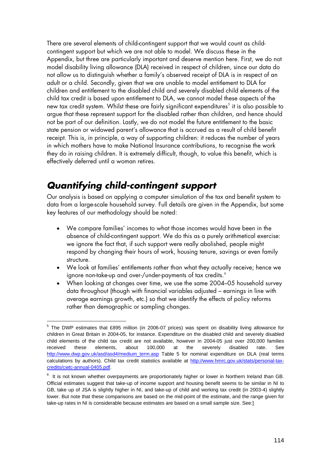There are several elements of child-contingent support that we would count as childcontingent support but which we are not able to model. We discuss these in the Appendix, but three are particularly important and deserve mention here. First, we do not model disability living allowance (DLA) received in respect of children, since our data do not allow us to distinguish whether a family's observed receipt of DLA is in respect of an adult or a child. Secondly, given that we are unable to model entitlement to DLA for children and entitlement to the disabled child and severely disabled child elements of the child tax credit is based upon entitlement to DLA, we cannot model these aspects of the new tax credit system. Whilst these are fairly significant expenditures $^{\text{5}}$  $^{\text{5}}$  $^{\text{5}}$  it is also possible to argue that these represent support for the disabled rather than children, and hence should not be part of our definition. Lastly, we do not model the future entitlement to the basic state pension or widowed parent's allowance that is accrued as a result of child benefit receipt. This is, in principle, a way of supporting children: it reduces the number of years in which mothers have to make National Insurance contributions, to recognise the work they do in raising children. It is extremely difficult, though, to value this benefit, which is effectively deferred until a woman retires.

#### *Quantifying child-contingent support*

1

Our analysis is based on applying a computer simulation of the tax and benefit system to data from a large-scale household survey. Full details are given in the Appendix, but some key features of our methodology should be noted:

- We compare families' incomes to what those incomes would have been in the absence of child-contingent support. We do this as a purely arithmetical exercise: we ignore the fact that, if such support were really abolished, people might respond by changing their hours of work, housing tenure, savings or even family structure.
- We look at families' entitlements rather than what they actually receive; hence we ignore non-take-up and over-/under-payments of tax credits.<sup>[6](#page-8-1)</sup>
- When looking at changes over time, we use the same 2004–05 household survey data throughout (though with financial variables adjusted – earnings in line with average earnings growth, etc.) so that we identify the effects of policy reforms rather than demographic or sampling changes.

<span id="page-8-0"></span><sup>&</sup>lt;sup>5</sup> The DWP estimates that £895 million (in 2006-07 prices) was spent on disability living allowance for children in Great Britain in 2004-05, for instance. Expenditure on the disabled child and severely disabled child elements of the child tax credit are not available, however in 2004-05 just over 200,000 families received these elements, about 100,000 at the severely disabled rate. See [http://www.dwp.gov.uk/asd/asd4/medium\\_term.asp](http://www.dwp.gov.uk/asd/asd4/medium_term.asp) Table 5 for nominal expenditure on DLA (real terms calculations by authors). Child tax credit statistics available at [http://www.hmrc.gov.uk/stats/personal-tax](http://www.hmrc.gov.uk/stats/personal-tax-credits/cwtc-annual-0405.pdf)[credits/cwtc-annual-0405.pdf](http://www.hmrc.gov.uk/stats/personal-tax-credits/cwtc-annual-0405.pdf).

<span id="page-8-1"></span> $6$  It is not known whether overpayments are proportionately higher or lower in Northern Ireland than GB. Official estimates suggest that take-up of income support and housing benefit seems to be similar in NI to GB, take up of JSA is slightly higher in NI, and take-up of child and working tax credit (in 2003-4) slightly lower. But note that these comparisons are based on the mid-point of the estimate, and the range given for take-up rates in NI is considerable because estimates are based on a small sample size. See:]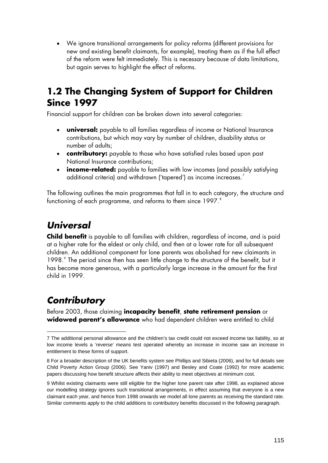• We ignore transitional arrangements for policy reforms (different provisions for new and existing benefit claimants, for example), treating them as if the full effect of the reform were felt immediately. This is necessary because of data limitations, but again serves to highlight the effect of reforms.

#### **1.2 The Changing System of Support for Children Since 1997**

Financial support for children can be broken down into several categories:

- **universal:** payable to all families regardless of income or National Insurance contributions, but which may vary by number of children, disability status or number of adults;
- **contributory:** payable to those who have satisfied rules based upon past National Insurance contributions;
- **income-related:** payable to families with low incomes (and possibly satisfying additional criteria) and withdrawn ('tapered') as income increases.<sup>[7](#page-9-0)</sup>

The following outlines the main programmes that fall in to each category, the structure and functioning of each programme, and reforms to them since 1997.<sup>[8](#page-9-1)</sup>

### *Universal*

**Child benefit** is payable to all families with children, regardless of income, and is paid at a higher rate for the eldest or only child, and then at a lower rate for all subsequent children. An additional component for lone parents was abolished for new claimants in 1[9](#page-9-2)98.<sup>9</sup> The period since then has seen little change to the structure of the benefit, but it has become more generous, with a particularly large increase in the amount for the first child in 1999.

### *Contributory*

-

Before 2003, those claiming **incapacity benefit**, **state retirement pension** or **widowed parent's allowance** who had dependent children were entitled to child

<span id="page-9-0"></span><sup>7</sup> The additional personal allowance and the children's tax credit could not exceed income tax liability, so at low income levels a 'reverse' means test operated whereby an increase in income saw an increase in entitlement to these forms of support.

<span id="page-9-1"></span><sup>8</sup> For a broader description of the UK benefits system see Phillips and Sibieta (2006), and for full details see Child Poverty Action Group (2006). See Yaniv (1997) and Besley and Coate (1992) for more academic papers discussing how benefit structure affects their ability to meet objectives at minimum cost.

<span id="page-9-2"></span><sup>9</sup> Whilst existing claimants were still eligible for the higher lone parent rate after 1998, as explained above our modelling strategy ignores such transitional arrangements, in effect assuming that everyone is a new claimant each year, and hence from 1998 onwards we model all lone parents as receiving the standard rate. Similar comments apply to the child additions to contributory benefits discussed in the following paragraph.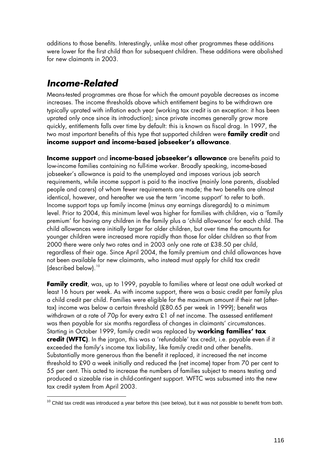additions to those benefits. Interestingly, unlike most other programmes these additions were lower for the first child than for subsequent children. These additions were abolished for new claimants in 2003.

### *Income-Related*

-

Means-tested programmes are those for which the amount payable decreases as income increases. The income thresholds above which entitlement begins to be withdrawn are typically uprated with inflation each year (working tax credit is an exception: it has been uprated only once since its introduction); since private incomes generally grow more quickly, entitlements falls over time by default: this is known as fiscal drag. In 1997, the two most important benefits of this type that supported children were **family credit** and **income support and income-based jobseeker's allowance**.

**Income support** and **income-based jobseeker's allowance** are benefits paid to low-income families containing no full-time worker. Broadly speaking, income-based jobseeker's allowance is paid to the unemployed and imposes various job search requirements, while income support is paid to the inactive (mainly lone parents, disabled people and carers) of whom fewer requirements are made; the two benefits are almost identical, however, and hereafter we use the term 'income support' to refer to both. Income support tops up family income (minus any earnings disregards) to a minimum level. Prior to 2004, this minimum level was higher for families with children, via a 'family premium' for having any children in the family plus a 'child allowance' for each child. The child allowances were initially larger for older children, but over time the amounts for younger children were increased more rapidly than those for older children so that from 2000 there were only two rates and in 2003 only one rate at £38.50 per child, regardless of their age. Since April 2004, the family premium and child allowances have not been available for new claimants, who instead must apply for child tax credit Idescribed below).<sup>[10](#page-10-0)</sup>

**Family credit**, was, up to 1999, payable to families where at least one adult worked at least 16 hours per week. As with income support, there was a basic credit per family plus a child credit per child. Families were eligible for the maximum amount if their net (aftertax) income was below a certain threshold (£80.65 per week in 1999); benefit was withdrawn at a rate of 70p for every extra £1 of net income. The assessed entitlement was then payable for six months regardless of changes in claimants' circumstances. Starting in October 1999, family credit was replaced by **working families' tax credit (WFTC)**. In the jargon, this was a 'refundable' tax credit, i.e. payable even if it exceeded the family's income tax liability, like family credit and other benefits. Substantially more generous than the benefit it replaced, it increased the net income threshold to £90 a week initially and reduced the (net income) taper from 70 per cent to 55 per cent. This acted to increase the numbers of families subject to means testing and produced a sizeable rise in child-contingent support. WFTC was subsumed into the new tax credit system from April 2003.

<span id="page-10-0"></span> $10$  Child tax credit was introduced a year before this (see below), but it was not possible to benefit from both.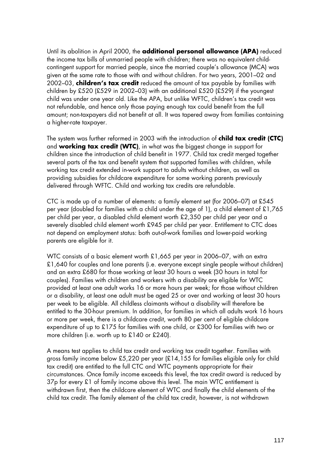Until its abolition in April 2000, the **additional personal allowance (APA)** reduced the income tax bills of unmarried people with children; there was no equivalent childcontingent support for married people, since the married couple's allowance (MCA) was given at the same rate to those with and without children. For two years, 2001–02 and 2002–03, **children's tax credit** reduced the amount of tax payable by families with children by £520 (£529 in 2002–03) with an additional £520 (£529) if the youngest child was under one year old. Like the APA, but unlike WFTC, children's tax credit was not refundable, and hence only those paying enough tax could benefit from the full amount; non-taxpayers did not benefit at all. It was tapered away from families containing a higher-rate taxpayer.

The system was further reformed in 2003 with the introduction of **child tax credit (CTC)** and **working tax credit (WTC)**, in what was the biggest change in support for children since the introduction of child benefit in 1977. Child tax credit merged together several parts of the tax and benefit system that supported families with children, while working tax credit extended in-work support to adults without children, as well as providing subsidies for childcare expenditure for some working parents previously delivered through WFTC. Child and working tax credits are refundable.

CTC is made up of a number of elements: a family element set (for 2006–07) at £545 per year (doubled for families with a child under the age of 1), a child element of £1,765 per child per year, a disabled child element worth £2,350 per child per year and a severely disabled child element worth £945 per child per year. Entitlement to CTC does not depend on employment status: both out-of-work families and lower-paid working parents are eligible for it.

WTC consists of a basic element worth £1,665 per year in 2006–07, with an extra £1,640 for couples and lone parents (i.e. everyone except single people without children) and an extra £680 for those working at least 30 hours a week (30 hours in total for couples). Families with children and workers with a disability are eligible for WTC provided at least one adult works 16 or more hours per week; for those without children or a disability, at least one adult must be aged 25 or over and working at least 30 hours per week to be eligible. All childless claimants without a disability will therefore be entitled to the 30-hour premium. In addition, for families in which all adults work 16 hours or more per week, there is a childcare credit, worth 80 per cent of eligible childcare expenditure of up to £175 for families with one child, or £300 for families with two or more children (i.e. worth up to £140 or £240).

A means test applies to child tax credit and working tax credit together. Families with gross family income below £5,220 per year (£14,155 for families eligible only for child tax credit) are entitled to the full CTC and WTC payments appropriate for their circumstances. Once family income exceeds this level, the tax credit award is reduced by 37p for every £1 of family income above this level. The main WTC entitlement is withdrawn first, then the childcare element of WTC and finally the child elements of the child tax credit. The family element of the child tax credit, however, is not withdrawn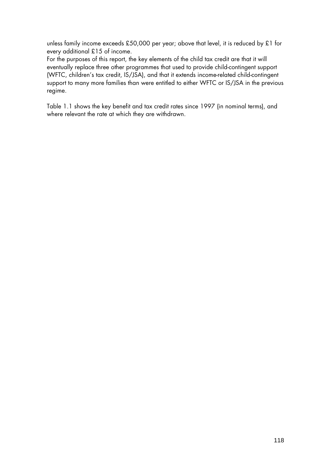unless family income exceeds £50,000 per year; above that level, it is reduced by £1 for every additional £15 of income.

For the purposes of this report, the key elements of the child tax credit are that it will eventually replace three other programmes that used to provide child-contingent support (WFTC, children's tax credit, IS/JSA), and that it extends income-related child-contingent support to many more families than were entitled to either WFTC or IS/JSA in the previous regime.

Table 1.1 shows the key benefit and tax credit rates since 1997 (in nominal terms), and where relevant the rate at which they are withdrawn.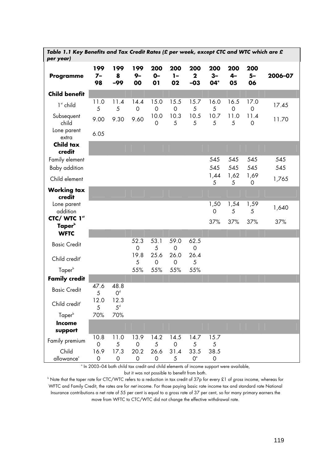| per year)                          | Table 1.1 Key Benefits and Tax Credit Rates (£ per week, except CTC and WTC which are £ |                        |                     |                     |                     |                                                                                                           |                                |                     |                        |            |
|------------------------------------|-----------------------------------------------------------------------------------------|------------------------|---------------------|---------------------|---------------------|-----------------------------------------------------------------------------------------------------------|--------------------------------|---------------------|------------------------|------------|
| <b>Programme</b>                   | 199<br>$7-$<br>98                                                                       | 199<br>8<br>$-99$      | 199<br>$9-$<br>00   | 200<br>$O -$<br>01  | 200<br>$1-$<br>02   | 200<br>$\mathbf{2}$<br>$-03$                                                                              | 200<br>$3-$<br>04 <sup>°</sup> | 200<br>$4-$<br>05   | 200<br>$5-$<br>06      | 2006-07    |
| <b>Child benefit</b>               |                                                                                         |                        |                     |                     |                     |                                                                                                           |                                |                     |                        |            |
| $1st$ child                        | 11.0<br>5                                                                               | 11.4<br>5              | 14.4<br>$\mathbf 0$ | 15.0<br>$\mathbf 0$ | 15.5<br>$\mathbf 0$ | 15.7<br>$\sqrt{5}$                                                                                        | 16.0<br>5                      | 16.5<br>$\mathbf 0$ | 17.0<br>$\mathbf 0$    | 17.45      |
| Subsequent<br>child                | 9.00                                                                                    | 9.30                   | 9.60                | 10.0<br>0           | 10.3<br>5           | 10.5<br>5                                                                                                 | 10.7<br>5                      | 11.0<br>5           | 11.4<br>$\Omega$       | 11.70      |
| Lone parent<br>extra               | 6.05                                                                                    |                        |                     |                     |                     |                                                                                                           |                                |                     |                        |            |
| <b>Child tax</b><br>credit         |                                                                                         |                        |                     |                     |                     |                                                                                                           |                                |                     |                        |            |
| Family element<br>Baby addition    |                                                                                         |                        |                     |                     |                     |                                                                                                           | 545<br>545                     | 545<br>545          | 545<br>545             | 545<br>545 |
| Child element                      |                                                                                         |                        |                     |                     |                     |                                                                                                           | 1,44<br>5                      | 1,62<br>5           | 1,69<br>0              | 1,765      |
| <b>Working tax</b><br>credit       |                                                                                         |                        |                     |                     |                     |                                                                                                           |                                |                     |                        |            |
| Lone parent<br>addition            |                                                                                         |                        |                     |                     |                     |                                                                                                           | 1,50<br>$\mathbf 0$            | 1,54<br>5           | 1,59<br>$\overline{5}$ | 1,640      |
| CTC/ WTC 1st<br>Taper <sup>b</sup> |                                                                                         |                        |                     |                     |                     |                                                                                                           | 37%                            | 37%                 | 37%                    | 37%        |
| <b>WFTC</b>                        |                                                                                         |                        |                     |                     |                     |                                                                                                           |                                |                     |                        |            |
| <b>Basic Credit</b>                |                                                                                         |                        | 52.3<br>$\mathbf 0$ | 53.1<br>5           | 59.0<br>$\mathbf 0$ | 62.5<br>$\mathbf 0$                                                                                       |                                |                     |                        |            |
| Child credit <sup>®</sup>          |                                                                                         |                        | 19.8<br>5           | 25.6<br>0           | 26.0<br>$\mathbf 0$ | 26.4<br>5                                                                                                 |                                |                     |                        |            |
| Taper <sup>b</sup>                 |                                                                                         |                        | 55%                 | 55%                 | 55%                 | 55%                                                                                                       |                                |                     |                        |            |
| <b>Family credit</b>               |                                                                                         |                        |                     |                     |                     |                                                                                                           |                                |                     |                        |            |
| <b>Basic Credit</b>                | 47.6<br>5                                                                               | 48.8<br>O <sup>d</sup> |                     |                     |                     |                                                                                                           |                                |                     |                        |            |
| Child credit <sup>®</sup>          | 12.0<br>5                                                                               | 12.3<br>5 <sup>d</sup> |                     |                     |                     |                                                                                                           |                                |                     |                        |            |
| Taper <sup>b</sup>                 | 70%                                                                                     | 70%                    |                     |                     |                     |                                                                                                           |                                |                     |                        |            |
| Income<br>support                  |                                                                                         |                        |                     |                     |                     |                                                                                                           |                                |                     |                        |            |
| Family premium                     | 10.8<br>$\mathbf 0$                                                                     | 11.0<br>5              | 13.9<br>0           | 14.2<br>5           | 14.5<br>$\mathbf 0$ | 14.7<br>5                                                                                                 | 15.7<br>5                      |                     |                        |            |
| Child                              | 16.9                                                                                    | 17.3                   | 20.2                | 26.6                | 31.4                | 33.5                                                                                                      | 38.5                           |                     |                        |            |
| allowance <sup>c</sup>             | 0                                                                                       | 0                      | 0                   | 0                   | 5                   | O <sup>e</sup><br>° In 2003-04 both child tax credit and child elements of income support were available, | $\circ$                        |                     |                        |            |

but it was not possible to benefit from both.<br>Dote that the taper rate for CTC/WTC refers to a reduction in tax credit of 37p for every £1 of *gross* income, whereas for " WFTC and Family Credit, the rates are for *net* income. For those paying basic rate income tax and standard rate National Insurance contributions a net rate of 55 per cent is equal to a gross rate of 37 per cent, so for many primary earners the move from WFTC to CTC/WTC did not change the effective withdrawal rate.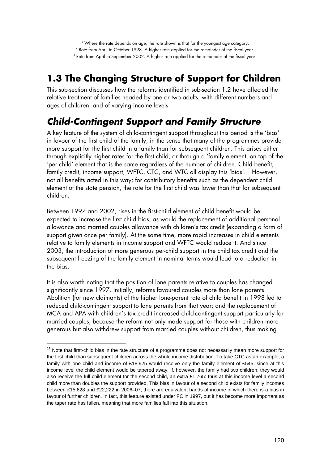### **1.3 The Changing Structure of Support for Children**

This sub-section discusses how the reforms identified in sub-section 1.2 have affected the relative treatment of families headed by one or two adults, with different numbers and ages of children, and of varying income levels.

### *Child-Contingent Support and Family Structure*

<span id="page-14-1"></span>A key feature of the system of child-contingent support throughout this period is the 'bias' in favour of the first child of the family, in the sense that many of the programmes provide more support for the first child in a family than for subsequent children. This arises either through explicitly higher rates for the first child, or through a 'family element' on top of the 'per child' element that is the same regardless of the number of children. Child benefit, family credit, income support, WFTC, CTC, and WTC all display this 'bias'.<sup>[11](#page-14-0)</sup> However, not all benefits acted in this way; for contributory benefits such as the dependent child element of the state pension, the rate for the first child was lower than that for subsequent children.

Between 1997 and 2002, rises in the first-child element of child benefit would be expected to increase the first child bias, as would the replacement of additional personal allowance and married couples allowance with children's tax credit (expanding a form of support given once per family). At the same time, more rapid increases in child elements relative to family elements in income support and WFTC would reduce it. And since 2003, the introduction of more generous per-child support in the child tax credit and the subsequent freezing of the family element in nominal terms would lead to a reduction in the bias.

It is also worth noting that the position of lone parents relative to couples has changed significantly since 1997. Initially, reforms favoured couples more than lone parents. Abolition (for new claimants) of the higher lone-parent rate of child benefit in 1998 led to reduced child-contingent support to lone parents from that year; and the replacement of MCA and APA with children's tax credit increased child-contingent support particularly for married couples, because the reform not only made support for those with children more generous but also withdrew support from married couples without children, thus making

 $\overline{a}$ 

<span id="page-14-0"></span><sup>&</sup>lt;sup>11</sup> Note that first-child bias in the rate structure of a programme does not necessarily mean more support for the first child than subsequent children across the whole income distribution. To take CTC as an example, a family with one child and income of £18,925 would receive only the family element of £545, since at this income level the child element would be tapered away. If, however, the family had two children, they would also receive the full child element for the second child, an extra £1,765: thus at this income level a second child more than doubles the support provided. This bias in favour of a second child exists for family incomes between £15,628 and £22,222 in 2006–07; there are equivalent bands of income in which there is a bias in favour of further children. In fact, this feature existed under FC in 1997, but it has become more important as the taper rate has fallen, meaning that more families fall into this situation.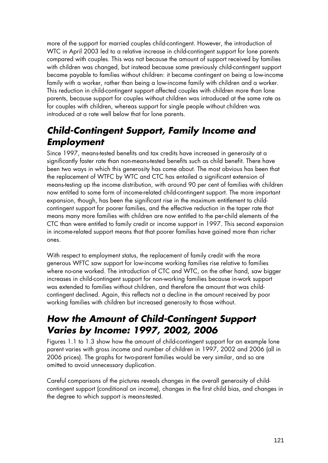more of the support for married couples child-contingent. However, the introduction of WTC in April 2003 led to a relative increase in child-contingent support for lone parents compared with couples. This was not because the amount of support received by families with children was changed, but instead because some previously child-contingent support became payable to families without children: it became contingent on being a low-income family with a worker, rather than being a low-income family with children and a worker. This reduction in child-contingent support affected couples with children more than lone parents, because support for couples without children was introduced at the same rate as for couples with children, whereas support for single people without children was introduced at a rate well below that for lone parents.

#### *Child-Contingent Support, Family Income and Employment*

Since 1997, means-tested benefits and tax credits have increased in generosity at a significantly faster rate than non-means-tested benefits such as child benefit. There have been two ways in which this generosity has come about. The most obvious has been that the replacement of WTFC by WTC and CTC has entailed a significant extension of means-testing up the income distribution, with around 90 per cent of families with children now entitled to some form of income-related child-contingent support. The more important expansion, though, has been the significant rise in the maximum entitlement to childcontingent support for poorer families, and the effective reduction in the taper rate that means many more families with children are now entitled to the per-child elements of the CTC than were entitled to family credit or income support in 1997. This second expansion in income-related support means that that poorer families have gained more than richer ones.

With respect to employment status, the replacement of family credit with the more generous WFTC saw support for low-income working families rise relative to families where no-one worked. The introduction of CTC and WTC, on the other hand, saw bigger increases in child-contingent support for non-working families because in-work support was extended to families without children, and therefore the amount that was childcontingent declined. Again, this reflects not a decline in the amount received by poor working families with children but increased generosity to those without.

#### *How the Amount of Child-Contingent Support Varies by Income: 1997, 2002, 2006*

Figures 1.1 to 1.3 show how the amount of child-contingent support for an example lone parent varies with gross income and number of children in 1997, 2002 and 2006 (all in 2006 prices). The graphs for two-parent families would be very similar, and so are omitted to avoid unnecessary duplication.

Careful comparisons of the pictures reveals changes in the overall generosity of childcontingent support (conditional on income), changes in the first child bias, and changes in the degree to which support is means-tested.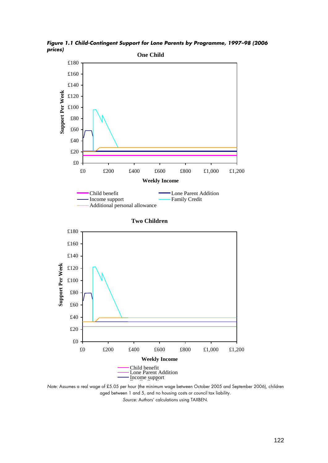

*Figure 1.1 Child-Contingent Support for Lone Parents by Programme, 1997–98 (2006 prices)* 

n من المساحد المسلم العدم المسلم العربي المسلم N*ote: A*ssumes a real wage of £5.05 per hour (the minimum wage between October 2005 and September 2006), children aged between 1 and 5, and no housing costs or council tax liability. *Source:* Authors' calculations using TAXBEN.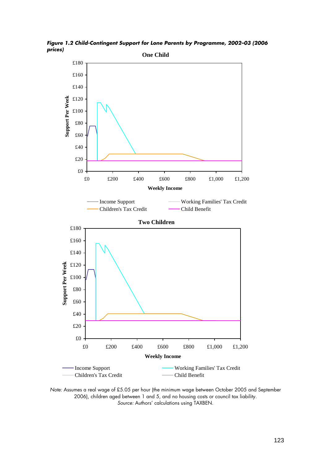

*Figure 1.2 Child-Contingent Support for Lone Parents by Programme, 2002–03 (2006 prices)* 

*Note:* Assumes a real wage of £5.05 per hour (the minimum wage between October 2005 and September 2006), children aged between 1 and 5, and no housing costs or council tax liability. *Source:* Authors' calculations using TAXBEN.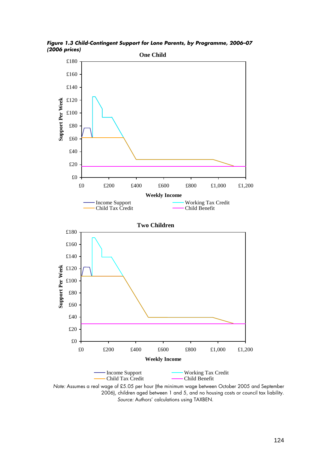

*Figure 1.3 Child-Contingent Support for Lone Parents, by Programme, 2006–07 (2006 prices)* 

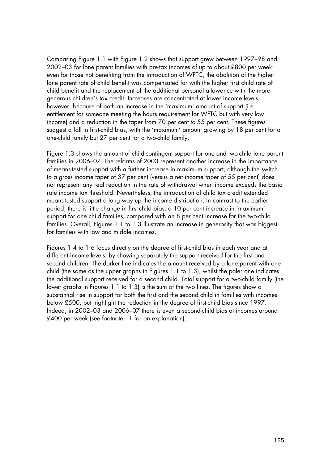Comparing Figure 1.1 with Figure 1.2 shows that support grew between 1997–98 and 2002–03 for lone parent families with pre-tax incomes of up to about £800 per week: even for those not benefiting from the introduction of WFTC, the abolition of the higher lone parent rate of child benefit was compensated for with the higher first child rate of child benefit and the replacement of the additional personal allowance with the more generous children's tax credit. Increases are concentrated at lower income levels, however, because of both an increase in the 'maximum' amount of support (i.e. entitlement for someone meeting the hours requirement for WFTC but with very low income) and a reduction in the taper from 70 per cent to 55 per cent. These figures suggest a fall in first-child bias, with the 'maximum' amount growing by 18 per cent for a one-child family but 27 per cent for a two-child family.

Figure 1.3 shows the amount of child-contingent support for one and two-child lone parent families in 2006–07. The reforms of 2003 represent another increase in the importance of means-tested support with a further increase in maximum support, although the switch to a gross income taper of 37 per cent (versus a net income taper of 55 per cent) does not represent any real reduction in the rate of withdrawal when income exceeds the basic rate income tax threshold. Nevertheless, the introduction of child tax credit extended means-tested support a long way up the income distribution. In contrast to the earlier period, there is little change in first-child bias: a 10 per cent increase in 'maximum' support for one child families, compared with an 8 per cent increase for the two-child families. Overall, Figures 1.1 to 1.3 illustrate an increase in generosity that was biggest for families with low and middle incomes.

Figures 1.4 to 1.6 focus directly on the degree of first-child bias in each year and at different income levels, by showing separately the support received for the first and second children. The darker line indicates the amount received by a lone parent with one child (the same as the upper graphs in Figures 1.1 to 1.3), whilst the paler one indicates the additional support received for a second child. Total support for a two-child family (the lower graphs in Figures 1.1 to 1.3) is the sum of the two lines. The figures show a substantial rise in support for both the first and the second child in families with incomes below £500, but highlight the reduction in the degree of first-child bias since 1997. Indeed, in 2002–03 and 2006–07 there is even a second-child bias at incomes around £400 per week (see footnote [11](#page-14-1) for an explanation).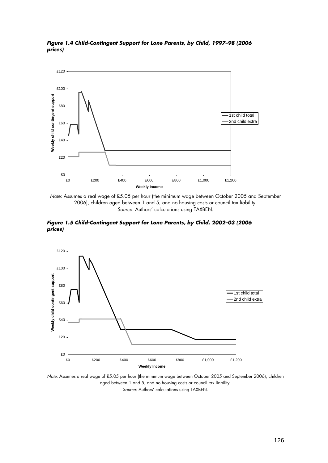

*Figure 1.4 Child-Contingent Support for Lone Parents, by Child, 1997–98 (2006 prices)* 

*Note:* Assumes a real wage of £5.05 per hour (the minimum wage between October 2005 and September 2006), children aged between 1 and 5, and no housing costs or council tax liability. *Source:* Authors' calculations using TAXBEN.

*Figure 1.5 Child-Contingent Support for Lone Parents, by Child, 2002–03 (2006 prices)* 



*Note:* Assumes a real wage of £5.05 per hour (the minimum wage between October 2005 and September 2006), children aged between 1 and 5, and no housing costs or council tax liability. *Source:* Authors' calculations using TAXBEN.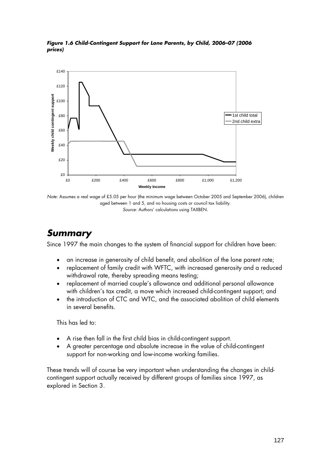

*Figure 1.6 Child-Contingent Support for Lone Parents, by Child, 2006–07 (2006 prices)* 

*Note:* Assumes a real wage of £5.05 per hour (the minimum wage between October 2005 and September 2006), children aged between 1 and 5, and no housing costs or council tax liability. *Source:* Authors' calculations using TAXBEN.

#### *Summary*

Since 1997 the main changes to the system of financial support for children have been:

- an increase in generosity of child benefit, and abolition of the lone parent rate;
- replacement of family credit with WFTC, with increased generosity and a reduced withdrawal rate, thereby spreading means testing;
- replacement of married couple's allowance and additional personal allowance with children's tax credit, a move which increased child-contingent support; and
- the introduction of CTC and WTC, and the associated abolition of child elements in several benefits.

This has led to:

- A rise then fall in the first child bias in child-contingent support.
- A greater percentage and absolute increase in the value of child-contingent support for non-working and low-income working families.

These trends will of course be very important when understanding the changes in childcontingent support actually received by different groups of families since 1997, as explored in Section 3.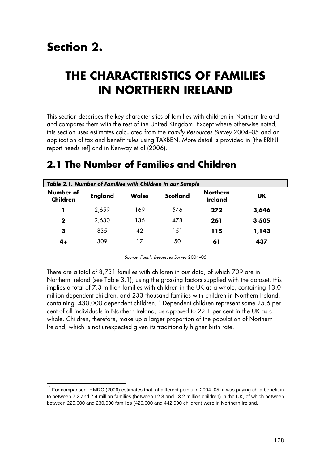# **Section 2.**

-

## **THE CHARACTERISTICS OF FAMILIES IN NORTHERN IRELAND**

This section describes the key characteristics of families with children in Northern Ireland and compares them with the rest of the United Kingdom. Except where otherwise noted, this section uses estimates calculated from the *Family Resources Survey* 2004–05 and an application of tax and benefit rules using TAXBEN. More detail is provided in [the ERINI report needs ref] and in Kenway et al (2006).

| Table 2.1. Number of Families with Children in our Sample |                |              |                 |                                   |           |  |  |  |
|-----------------------------------------------------------|----------------|--------------|-----------------|-----------------------------------|-----------|--|--|--|
| Number of<br><b>Children</b>                              | <b>England</b> | <b>Wales</b> | <b>Scotland</b> | <b>Northern</b><br><b>Ireland</b> | <b>UK</b> |  |  |  |
|                                                           | 2,659          | 169          | 546             | 272                               | 3,646     |  |  |  |
| $\mathbf 2$                                               | 2,630          | 136          | 478             | 261                               | 3,505     |  |  |  |
| 3                                                         | 835            | 42           | 151             | 115                               | 1,143     |  |  |  |
| 4+                                                        | 309            | 17           | 50              | 61                                | 437       |  |  |  |

### **2.1 The Number of Families and Children**

*Source: Family Resources Survey* 2004–05

There are a total of 8,731 families with children in our data, of which 709 are in Northern Ireland (see Table 3.1); using the grossing factors supplied with the dataset, this implies a total of 7.3 million families with children in the UK as a whole, containing 13.0 million dependent children, and 233 thousand families with children in Northern Ireland, containing 430,000 dependent children.<sup>[12](#page-22-0)</sup> Dependent children represent some 25.6 per cent of all individuals in Northern Ireland, as opposed to 22.1 per cent in the UK as a whole. Children, therefore, make up a larger proportion of the population of Northern Ireland, which is not unexpected given its traditionally higher birth rate.

<span id="page-22-0"></span><sup>&</sup>lt;sup>12</sup> For comparison, HMRC (2006) estimates that, at different points in 2004–05, it was paying child benefit in to between 7.2 and 7.4 million families (between 12.8 and 13.2 million children) in the UK, of which between between 225,000 and 230,000 families (426,000 and 442,000 children) were in Northern Ireland.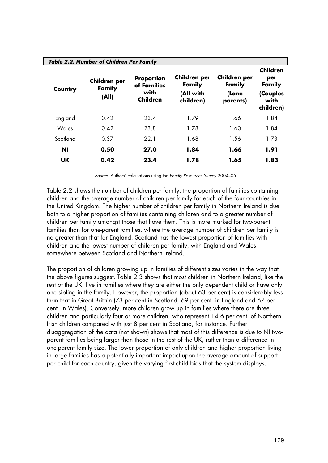|           | Table 2.2. Number of Children Per Family |                                                      |                                                  |                                             |                                                                   |  |  |  |  |
|-----------|------------------------------------------|------------------------------------------------------|--------------------------------------------------|---------------------------------------------|-------------------------------------------------------------------|--|--|--|--|
| Country   | Children per<br>Family<br>(All)          | Proportion<br>of Families<br>with<br><b>Children</b> | Children per<br>Family<br>(All with<br>children) | Children per<br>Family<br>(Lone<br>parents) | <b>Children</b><br>per<br>Family<br>(Couples<br>with<br>children) |  |  |  |  |
| England   | 0.42                                     | 23.4                                                 | 1.79                                             | 1.66                                        | 1.84                                                              |  |  |  |  |
| Wales     | 0.42                                     | 23.8                                                 | 1.78                                             | 1.60                                        | 1.84                                                              |  |  |  |  |
| Scotland  | 0.37                                     | 22.1                                                 | 1.68                                             | 1.56                                        | 1.73                                                              |  |  |  |  |
| <b>NI</b> | 0.50                                     | 27.0                                                 | 1.84                                             | 1.66                                        | 1.91                                                              |  |  |  |  |
| <b>UK</b> | 0.42                                     | 23.4                                                 | 1.78                                             | 1.65                                        | 1.83                                                              |  |  |  |  |

*Source:* Authors' calculations using the *Family Resources Survey* 2004–05

Table 2.2 shows the number of children per family, the proportion of families containing children and the average number of children per family for each of the four countries in the United Kingdom. The higher number of children per family in Northern Ireland is due both to a higher proportion of families containing children and to a greater number of children per family amongst those that have them. This is more marked for two-parent families than for one-parent families, where the average number of children per family is no greater than that for England. Scotland has the lowest proportion of families with children and the lowest number of children per family, with England and Wales somewhere between Scotland and Northern Ireland.

The proportion of children growing up in families of different sizes varies in the way that the above figures suggest. Table 2.3 shows that most children in Northern Ireland, like the rest of the UK, live in families where they are either the only dependent child or have only one sibling in the family. However, the proportion (about 63 per cent) is considerably less than that in Great Britain (73 per cent in Scotland, 69 per cent in England and 67 per cent in Wales). Conversely, more children grow up in families where there are three children and particularly four or more children, who represent 14.6 per cent of Northern Irish children compared with just 8 per cent in Scotland, for instance. Further disaggregation of the data (not shown) shows that most of this difference is due to NI twoparent families being larger than those in the rest of the UK, rather than a difference in one-parent family size. The lower proportion of only children and higher proportion living in large families has a potentially important impact upon the average amount of support per child for each country, given the varying first-child bias that the system displays.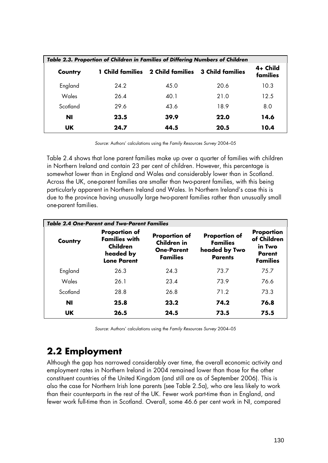|          | Table 2.3. Proportion of Children in Families of Differing Numbers of Children |                         |                         |                      |  |  |  |  |
|----------|--------------------------------------------------------------------------------|-------------------------|-------------------------|----------------------|--|--|--|--|
| Country  | <b>1 Child families</b>                                                        | <b>2 Child families</b> | <b>3 Child families</b> | 4+ Child<br>families |  |  |  |  |
| England  | 24.2                                                                           | 45.0                    | 20.6                    | 10.3                 |  |  |  |  |
| Wales    | 26.4                                                                           | 40.1                    | 21.0                    | 12.5                 |  |  |  |  |
| Scotland | 29.6                                                                           | 43.6                    | 18.9                    | 8.0                  |  |  |  |  |
| ΝI       | 23.5                                                                           | 39.9                    | 22.0                    | 14.6                 |  |  |  |  |
| UK.      | 24.7                                                                           | 44.5                    | 20.5                    | 10.4                 |  |  |  |  |

*Source:* Authors' calculations using the *Family Resources Survey* 2004–05

Table 2.4 shows that lone parent families make up over a quarter of families with children in Northern Ireland and contain 23 per cent of children. However, this percentage is somewhat lower than in England and Wales and considerably lower than in Scotland. Across the UK, one-parent families are smaller than two-parent families, with this being particularly apparent in Northern Ireland and Wales. In Northern Ireland's case this is due to the province having unusually large two-parent families rather than unusually small one-parent families.

| <b>Table 2.4 One-Parent and Two-Parent Families</b> |                                                                                                    |                                                                                    |                                                                            |                                                                         |  |  |  |  |
|-----------------------------------------------------|----------------------------------------------------------------------------------------------------|------------------------------------------------------------------------------------|----------------------------------------------------------------------------|-------------------------------------------------------------------------|--|--|--|--|
| Country                                             | <b>Proportion of</b><br><b>Families with</b><br><b>Children</b><br>headed by<br><b>Lone Parent</b> | <b>Proportion of</b><br><b>Children in</b><br><b>One-Parent</b><br><b>Families</b> | <b>Proportion of</b><br><b>Families</b><br>headed by Two<br><b>Parents</b> | Proportion<br>of Children<br>in Two<br><b>Parent</b><br><b>Families</b> |  |  |  |  |
| England                                             | 26.3                                                                                               | 24.3                                                                               | 73.7                                                                       | 75.7                                                                    |  |  |  |  |
| Wales                                               | 26.1                                                                                               | 23.4                                                                               | 73.9                                                                       | 76.6                                                                    |  |  |  |  |
| Scotland                                            | 28.8                                                                                               | 26.8                                                                               | 71.2                                                                       | 73.3                                                                    |  |  |  |  |
| <b>NI</b>                                           | 25.8                                                                                               | 23.2                                                                               | 74.2                                                                       | 76.8                                                                    |  |  |  |  |
| UK.                                                 | 26.5                                                                                               | 24.5                                                                               | 73.5                                                                       | 75.5                                                                    |  |  |  |  |

*Source:* Authors' calculations using the *Family Resources Survey* 2004–05

### **2.2 Employment**

Although the gap has narrowed considerably over time, the overall economic activity and employment rates in Northern Ireland in 2004 remained lower than those for the other constituent countries of the United Kingdom (and still are as of September 2006). This is also the case for Northern Irish lone parents (see Table 2.5a), who are less likely to work than their counterparts in the rest of the UK. Fewer work part-time than in England, and fewer work full-time than in Scotland. Overall, some 46.6 per cent work in NI, compared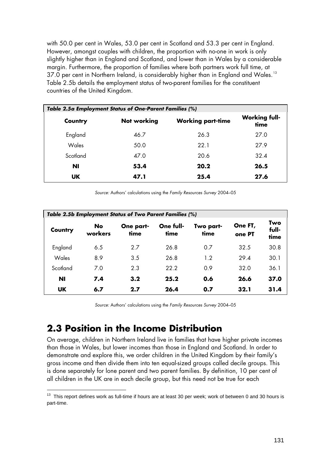with 50.0 per cent in Wales, 53.0 per cent in Scotland and 53.3 per cent in England. However, amongst couples with children, the proportion with no-one in work is only slightly higher than in England and Scotland, and lower than in Wales by a considerable margin. Furthermore, the proportion of families where both partners work full time, at 37.0 per cent in Northern Ireland, is considerably higher than in England and Wales.<sup>[13](#page-25-0)</sup> Table 2.5b details the employment status of two-parent families for the constituent countries of the United Kingdom.

| Table 2.5a Employment Status of One-Parent Families (%) |                    |                          |                              |  |  |  |  |
|---------------------------------------------------------|--------------------|--------------------------|------------------------------|--|--|--|--|
| Country                                                 | <b>Not working</b> | <b>Working part-time</b> | <b>Working full-</b><br>time |  |  |  |  |
| England                                                 | 46.7               | 26.3                     | 27.0                         |  |  |  |  |
| Wales                                                   | 50.0               | 22.1                     | 27.9                         |  |  |  |  |
| Scotland                                                | 47.0               | 20.6                     | 32.4                         |  |  |  |  |
| ΝI                                                      | 53.4               | 20.2                     | 26.5                         |  |  |  |  |
| <b>UK</b>                                               | 47.1               | 25.4                     | 27.6                         |  |  |  |  |

*Source:* Authors' calculations using the *Family Resources Survey* 2004–05

| Table 2.5b Employment Status of Two Parent Families (%) |               |                   |                   |                   |                   |                      |  |  |
|---------------------------------------------------------|---------------|-------------------|-------------------|-------------------|-------------------|----------------------|--|--|
| Country                                                 | No<br>workers | One part-<br>time | One full-<br>time | Two part-<br>time | One FT,<br>one PT | Two<br>full-<br>time |  |  |
| England                                                 | 6.5           | 2.7               | 26.8              | 0.7               | 32.5              | 30.8                 |  |  |
| Wales                                                   | 8.9           | 3.5               | 26.8              | 1.2               | 29.4              | 30.1                 |  |  |
| Scotland                                                | 7.0           | 2.3               | 22.2              | 0.9               | 32.0              | 36.1                 |  |  |
| ΝI                                                      | 7.4           | 3.2               | 25.2              | 0.6               | 26.6              | 37.0                 |  |  |
| <b>UK</b>                                               | 6.7           | 2.7               | 26.4              | 0.7               | 32.1              | 31.4                 |  |  |

*Source:* Authors' calculations using the *Family Resources Survey* 2004–05

#### **2.3 Position in the Income Distribution**

-

On average, children in Northern Ireland live in families that have higher private incomes than those in Wales, but lower incomes than those in England and Scotland. In order to demonstrate and explore this, we order children in the United Kingdom by their family's gross income and then divide them into ten equal-sized groups called decile groups. This is done separately for lone parent and two parent families. By definition, 10 per cent of all children in the UK are in each decile group, but this need not be true for each

<span id="page-25-0"></span> $13$  This report defines work as full-time if hours are at least 30 per week; work of between 0 and 30 hours is part-time.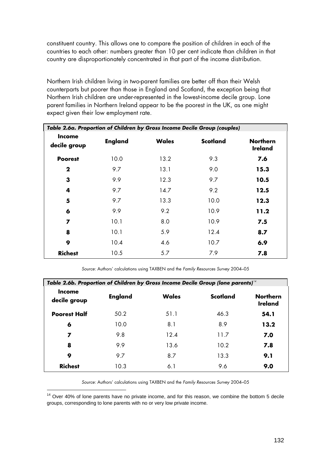constituent country. This allows one to compare the position of children in each of the countries to each other: numbers greater than 10 per cent indicate than children in that country are disproportionately concentrated in that part of the income distribution.

Northern Irish children living in two-parent families are better off than their Welsh counterparts but poorer than those in England and Scotland, the exception being that Northern Irish children are under-represented in the lowest-income decile group. Lone parent families in Northern Ireland appear to be the poorest in the UK, as one might expect given their low employment rate.

|                               | Table 2.6a. Proportion of Children by Gross Income Decile Group (couples) |              |                 |                                   |  |  |  |  |
|-------------------------------|---------------------------------------------------------------------------|--------------|-----------------|-----------------------------------|--|--|--|--|
| <b>Income</b><br>decile group | <b>England</b>                                                            | <b>Wales</b> | <b>Scotland</b> | <b>Northern</b><br><b>Ireland</b> |  |  |  |  |
| <b>Poorest</b>                | 10.0                                                                      | 13.2         | 9.3             | 7.6                               |  |  |  |  |
| $\mathbf 2$                   | 9.7                                                                       | 13.1         | 9.0             | 15.3                              |  |  |  |  |
| 3                             | 9.9                                                                       | 12.3         | 9.7             | 10.5                              |  |  |  |  |
| 4                             | 9.7                                                                       | 14.7         | 9.2             | 12.5                              |  |  |  |  |
| 5                             | 9.7                                                                       | 13.3         | 10.0            | 12.3                              |  |  |  |  |
| 6                             | 9.9                                                                       | 9.2          | 10.9            | 11.2                              |  |  |  |  |
| 7                             | 10.1                                                                      | 8.0          | 10.9            | 7.5                               |  |  |  |  |
| 8                             | 10.1                                                                      | 5.9          | 12.4            | 8.7                               |  |  |  |  |
| 9                             | 10.4                                                                      | 4.6          | 10.7            | 6.9                               |  |  |  |  |
| <b>Richest</b>                | 10.5                                                                      | 5.7          | 7.9             | 7.8                               |  |  |  |  |

*Source:* Authors' calculations using TAXBEN and the *Family Resources Survey* 2004–05

| Table 2.6b. Proportion of Children by Gross Income Decile Group (lone parents) <sup>14</sup> |                |       |                 |                                   |  |  |  |  |
|----------------------------------------------------------------------------------------------|----------------|-------|-----------------|-----------------------------------|--|--|--|--|
| Income<br>decile group                                                                       | <b>England</b> | Wales | <b>Scotland</b> | <b>Northern</b><br><b>Ireland</b> |  |  |  |  |
| <b>Poorest Half</b>                                                                          | 50.2           | 51.1  | 46.3            | 54.1                              |  |  |  |  |
| 6                                                                                            | 10.0           | 8.1   | 8.9             | 13.2                              |  |  |  |  |
| 7                                                                                            | 9.8            | 12.4  | 11.7            | 7.0                               |  |  |  |  |
| 8                                                                                            | 9.9            | 13.6  | 10.2            | 7.8                               |  |  |  |  |
| 9                                                                                            | 9.7            | 8.7   | 13.3            | 9.1                               |  |  |  |  |
| <b>Richest</b>                                                                               | 10.3           | 6.1   | 9.6             | 9.0                               |  |  |  |  |

*Source:* Authors' calculations using TAXBEN and the *Family Resources Survey* 2004–05

-

<span id="page-26-0"></span> $14$  Over 40% of lone parents have no private income, and for this reason, we combine the bottom 5 decile groups, corresponding to lone parents with no or very low private income.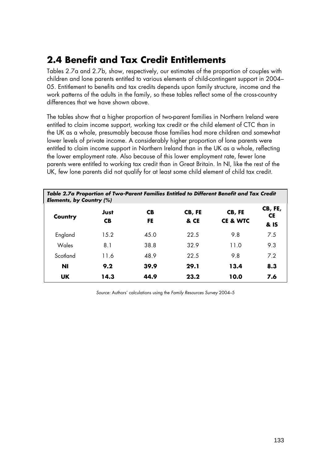#### **2.4 Benefit and Tax Credit Entitlements**

Tables 2.7a and 2.7b, show, respectively, our estimates of the proportion of couples with children and lone parents entitled to various elements of child-contingent support in 2004– 05. Entitlement to benefits and tax credits depends upon family structure, income and the work patterns of the adults in the family, so these tables reflect some of the cross-country differences that we have shown above.

The tables show that a higher proportion of two-parent families in Northern Ireland were entitled to claim income support, working tax credit or the child element of CTC than in the UK as a whole, presumably because those families had more children and somewhat lower levels of private income. A considerably higher proportion of lone parents were entitled to claim income support in Northern Ireland than in the UK as a whole, reflecting the lower employment rate. Also because of this lower employment rate, fewer lone parents were entitled to working tax credit than in Great Britain. In NI, like the rest of the UK, few lone parents did not qualify for at least some child element of child tax credit.

| Table 2.7a Proportion of Two-Parent Families Entitled to Different Benefit and Tax Credit<br><b>Elements, by Country (%)</b> |                   |                 |                |                               |                              |  |  |
|------------------------------------------------------------------------------------------------------------------------------|-------------------|-----------------|----------------|-------------------------------|------------------------------|--|--|
| Country                                                                                                                      | Just<br><b>CB</b> | <b>CB</b><br>FE | CB, FE<br>& CE | CB, FE<br><b>CE &amp; WTC</b> | CB, FE,<br><b>CE</b><br>& IS |  |  |
| England                                                                                                                      | 15.2              | 45.0            | 22.5           | 9.8                           | 7.5                          |  |  |
| Wales                                                                                                                        | 8.1               | 38.8            | 32.9           | 11.0                          | 9.3                          |  |  |
| Scotland                                                                                                                     | 11.6              | 48.9            | 22.5           | 9.8                           | 7.2                          |  |  |
| <b>NI</b>                                                                                                                    | 9.2               | 39.9            | 29.1           | 13.4                          | 8.3                          |  |  |
| <b>UK</b>                                                                                                                    | 14.3              | 44.9            | 23.2           | 10.0                          | 7.6                          |  |  |

*Source:* Authors' calculations using the *Family Resources Survey* 2004–5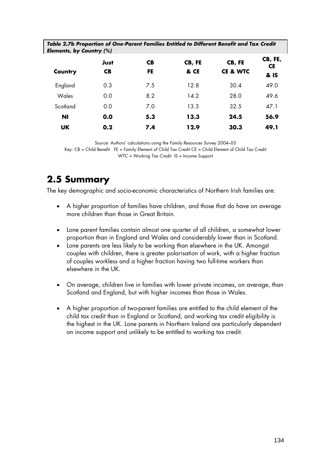| Table 2.7b Proportion of One-Parent Families Entitled to Different Benefit and Tax Credit<br>Elements, by Country (%) |                   |                  |                |                               |                              |  |  |
|-----------------------------------------------------------------------------------------------------------------------|-------------------|------------------|----------------|-------------------------------|------------------------------|--|--|
| Country                                                                                                               | Just<br><b>CB</b> | <b>CB</b><br>FE. | CB, FE<br>& CE | CB, FE<br><b>CE &amp; WTC</b> | CB, FE,<br><b>CE</b><br>& IS |  |  |
| England                                                                                                               | 0.3               | 7.5              | 12.8           | 30.4                          | 49.0                         |  |  |
| Wales                                                                                                                 | 0.0               | 8.2              | 14.2           | 28.0                          | 49.6                         |  |  |
| Scotland                                                                                                              | 0.0               | 7.0              | 13.3           | 32.5                          | 47.1                         |  |  |
| ΝI                                                                                                                    | 0.0               | 5.3              | 13.3           | 24.5                          | 56.9                         |  |  |
| <b>UK</b>                                                                                                             | 0.2               | 7.4              | 12.9           | 30.3                          | 49.1                         |  |  |

Source: Authors' calculations using the *Family Resources Survey* 2004–05

Key: CB = Child Benefit FE = Family Element of Child Tax Credit CE = Child Element of Child Tax Credit WTC = Working Tax Credit IS = Income Support

### **2.5 Summary**

The key demographic and socio-economic characteristics of Northern Irish families are:

- A higher proportion of families have children, and those that do have on average more children than those in Great Britain.
- Lone parent families contain almost one quarter of all children, a somewhat lower proportion than in England and Wales and considerably lower than in Scotland.
- Lone parents are less likely to be working than elsewhere in the UK. Amongst couples with children, there is greater polarisation of work, with a higher fraction of couples workless and a higher fraction having two full-time workers than elsewhere in the UK.
- On average, children live in families with lower private incomes, on average, than Scotland and England, but with higher incomes than those in Wales.
- A higher proportion of two-parent families are entitled to the child element of the child tax credit than in England or Scotland, and working tax credit eligibility is the highest in the UK. Lone parents in Northern Ireland are particularly dependent on income support and unlikely to be entitled to working tax credit.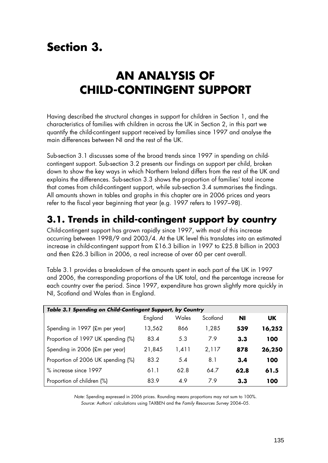# **Section 3.**

# **AN ANALYSIS OF CHILD-CONTINGENT SUPPORT**

Having described the structural changes in support for children in Section 1, and the characteristics of families with children in across the UK in Section 2, in this part we quantify the child-contingent support received by families since 1997 and analyse the main differences between NI and the rest of the UK.

Sub-section 3.1 discusses some of the broad trends since 1997 in spending on childcontingent support. Sub-section 3.2 presents our findings on support per child, broken down to show the key ways in which Northern Ireland differs from the rest of the UK and explains the differences. Sub-section 3.3 shows the proportion of families' total income that comes from child-contingent support, while sub-section 3.4 summarises the findings. All amounts shown in tables and graphs in this chapter are in 2006 prices and years refer to the fiscal year beginning that year (e.g. 1997 refers to 1997–98).

#### **3.1. Trends in child-contingent support by country**

Child-contingent support has grown rapidly since 1997, with most of this increase occurring between 1998/9 and 2003/4. At the UK level this translates into an estimated increase in child-contingent support from £16.3 billion in 1997 to £25.8 billion in 2003 and then £26.3 billion in 2006, a real increase of over 60 per cent overall.

Table 3.1 provides a breakdown of the amounts spent in each part of the UK in 1997 and 2006, the corresponding proportions of the UK total, and the percentage increase for each country over the period. Since 1997, expenditure has grown slightly more quickly in NI, Scotland and Wales than in England.

| Table 3.1 Spending on Child-Contingent Support, by Country |         |       |          |      |           |  |
|------------------------------------------------------------|---------|-------|----------|------|-----------|--|
|                                                            | England | Wales | Scotland | ΝI   | <b>UK</b> |  |
| Spending in 1997 (£m per year)                             | 13,562  | 866   | 1,285    | 539  | 16,252    |  |
| Proportion of 1997 UK spending (%)                         | 83.4    | 5.3   | 7.9      | 3.3  | 100       |  |
| Spending in 2006 (£m per year)                             | 21,845  | 1,411 | 2,117    | 878  | 26,250    |  |
| Proportion of 2006 UK spending (%)                         | 83.2    | 5.4   | 8.1      | 3.4  | 100       |  |
| % increase since 1997                                      | 61.1    | 62.8  | 64.7     | 62.8 | 61.5      |  |
| Proportion of children (%)                                 | 83.9    | 4.9   | 7.9      | 3.3  | 100       |  |

*Note:* Spending expressed in 2006 prices. Rounding means proportions may not sum to 100%. *Source:* Authors' calculations using TAXBEN and the *Family Resources Survey* 2004–05.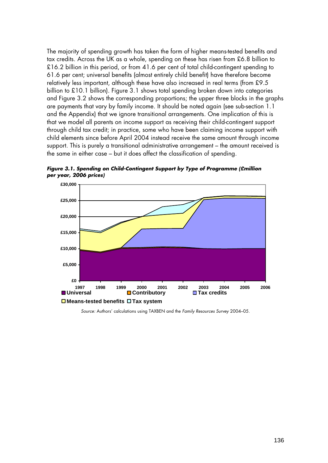The majority of spending growth has taken the form of higher means-tested benefits and tax credits. Across the UK as a whole, spending on these has risen from £6.8 billion to £16.2 billion in this period, or from 41.6 per cent of total child-contingent spending to 61.6 per cent; universal benefits (almost entirely child benefit) have therefore become relatively less important, although these have also increased in real terms (from £9.5 billion to £10.1 billion). Figure 3.1 shows total spending broken down into categories and Figure 3.2 shows the corresponding proportions; the upper three blocks in the graphs are payments that vary by family income. It should be noted again (see sub-section 1.1 and the Appendix) that we ignore transitional arrangements. One implication of this is that we model all parents on income support as receiving their child-contingent support through child tax credit; in practice, some who have been claiming income support with child elements since before April 2004 instead receive the same amount through income support. This is purely a transitional administrative arrangement – the amount received is the same in either case – but it does affect the classification of spending.



*Figure 3.1. Spending on Child-Contingent Support by Type of Programme (£million per year, 2006 prices)* 

*Source:* Authors' calculations using TAXBEN and the *Family Resources Survey* 2004–05.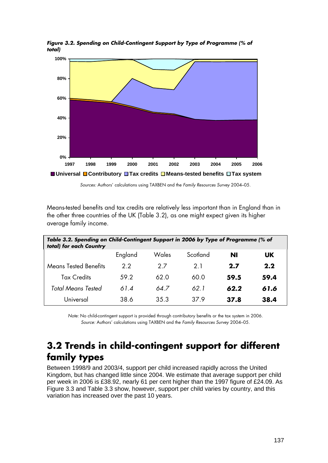

*Figure 3.2. Spending on Child-Contingent Support by Type of Programme (% of total)*

*Sources:* Authors' calculations using TAXBEN and the *Family Resources Survey* 2004–05.

Means-tested benefits and tax credits are relatively less important than in England than in the other three countries of the UK (Table 3.2), as one might expect given its higher average family income.

| Table 3.2. Spending on Child-Contingent Support in 2006 by Type of Programme (% of<br>total) for each Country |         |       |          |      |      |
|---------------------------------------------------------------------------------------------------------------|---------|-------|----------|------|------|
|                                                                                                               | England | Wales | Scotland | NI   | UK.  |
| <b>Means Tested Benefits</b>                                                                                  | 2.2     | 27    | 21       | 2.7  | 2.2  |
| <b>Tax Credits</b>                                                                                            | 59.2    | 62.0  | 60.0     | 59.5 | 59.4 |
| Total Means Tested                                                                                            | 61.4    | 64.7  | 62 1     | 62.2 | 61.6 |
| Universal                                                                                                     | 38.6    | 35.3  | 379      | 37.8 | 38.4 |

*Note:* No child-contingent support is provided through contributory benefits or the tax system in 2006. *Source:* Authors' calculations using TAXBEN and the *Family Resources Survey* 2004–05.

#### **3.2 Trends in child-contingent support for different family types**

Between 1998/9 and 2003/4, support per child increased rapidly across the United Kingdom, but has changed little since 2004. We estimate that average support per child per week in 2006 is £38.92, nearly 61 per cent higher than the 1997 figure of £24.09. As Figure 3.3 and Table 3.3 show, however, support per child varies by country, and this variation has increased over the past 10 years.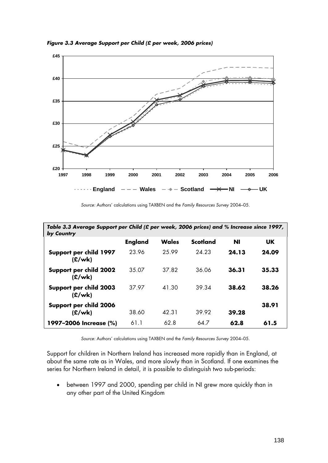

*Figure 3.3 Average Support per Child (£ per week, 2006 prices)* 

|  |  | Source: Authors' calculations using TAXBEN and the Family Resources Survey 2004-05. |  |
|--|--|-------------------------------------------------------------------------------------|--|
|  |  |                                                                                     |  |

| Table 3.3 Average Support per Child (£ per week, 2006 prices) and % Increase since 1997,<br>by Country |                |              |                 |       |       |
|--------------------------------------------------------------------------------------------------------|----------------|--------------|-----------------|-------|-------|
|                                                                                                        | <b>England</b> | <b>Wales</b> | <b>Scotland</b> | ΝI    | UK.   |
| Support per child 1997<br>(E/wk)                                                                       | 23.96          | 25.99        | 24.23           | 24.13 | 24.09 |
| Support per child 2002<br>(E/wk)                                                                       | 35.07          | 37.82        | 36.06           | 36.31 | 35.33 |
| Support per child 2003<br>(E/wk)                                                                       | 37.97          | 41.30        | 39.34           | 38.62 | 38.26 |
| Support per child 2006<br>(E/wk)                                                                       | 38.60          | 42.31        | 39.92           | 39.28 | 38.91 |
| 1997-2006 Increase (%)                                                                                 | 61.1           | 62.8         | 64.7            | 62.8  | 61.5  |

*Source:* Authors' calculations using TAXBEN and the *Family Resources Survey* 2004–05.

Support for children in Northern Ireland has increased more rapidly than in England, at about the same rate as in Wales, and more slowly than in Scotland. If one examines the series for Northern Ireland in detail, it is possible to distinguish two sub-periods:

• between 1997 and 2000, spending per child in NI grew more quickly than in any other part of the United Kingdom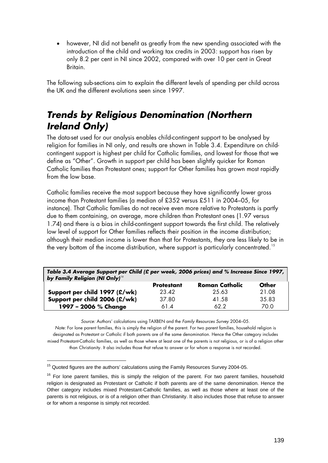• however, NI did not benefit as greatly from the new spending associated with the introduction of the child and working tax credits in 2003: support has risen by only 8.2 per cent in NI since 2002, compared with over 10 per cent in Great Britain.

The following sub-sections aim to explain the different levels of spending per child across the UK and the different evolutions seen since 1997.

#### *Trends by Religious Denomination (Northern Ireland Only)*

The data-set used for our analysis enables child-contingent support to be analysed by religion for families in NI only, and results are shown in Table 3.4. Expenditure on childcontingent support is highest per child for Catholic families, and lowest for those that we define as "Other". Growth in support per child has been slightly quicker for Roman Catholic families than Protestant ones; support for Other families has grown most rapidly from the low base.

Catholic families receive the most support because they have significantly lower gross income than Protestant families (a median of £352 versus £511 in 2004–05, for instance). That Catholic families do not receive even more relative to Protestants is partly due to them containing, on average, more children than Protestant ones (1.97 versus 1.74) and there is a bias in child-contingent support towards the first child. The relatively low level of support for Other families reflects their position in the income distribution; although their median income is lower than that for Protestants, they are less likely to be in the very bottom of the income distribution, where support is particularly concentrated.  $^{\text{15}}$  $^{\text{15}}$  $^{\text{15}}$ 

*Table 3.4 Average Support per Child (£ per week, 2006 prices) and % Increase Since 1997, by Family Religion (NI Only)[16](#page-33-1)*  **Protestant Roman Catholic Other** 

|                                 | <b>Profesigni</b> | KOMIGH CAMONG | vmer  |  |
|---------------------------------|-------------------|---------------|-------|--|
| Support per child 1997 $(E/wk)$ | 23.42             | 25.63         | 21.08 |  |
| Support per child 2006 $(E/wk)$ | 37.80             | 41.58         | 35.83 |  |
| 1997 - 2006 % Change            | 61.4              | 62.2          | 70.0  |  |

*Source:* Authors' calculations using TAXBEN and the *Family Resources Survey* 2004–05.

*Note:* For lone parent families, this is simply the religion of the parent. For two parent families, household religion is designated as Protestant or Catholic if both parents are of the same denomination. Hence the Other category includes mixed Protestant-Catholic families, as well as those where at least one of the parents is not religious, or is of a religion other than Christianity. It also includes those that refuse to answer or for whom a response is not recorded.

1

<span id="page-33-0"></span><sup>&</sup>lt;sup>15</sup> Quoted figures are the authors' calculations using the Family Resources Survey 2004-05.

<span id="page-33-1"></span> $16$  For lone parent families, this is simply the religion of the parent. For two parent families, household religion is designated as Protestant or Catholic if both parents are of the same denomination. Hence the Other category includes mixed Protestant-Catholic families, as well as those where at least one of the parents is not religious, or is of a religion other than Christianity. It also includes those that refuse to answer or for whom a response is simply not recorded.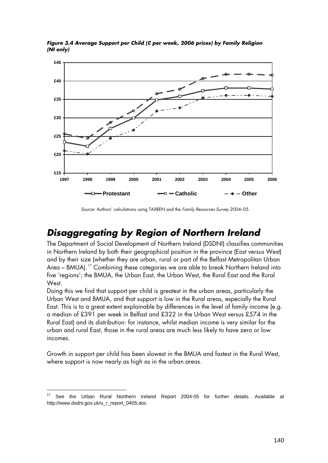

*Figure 3.4 Average Support per Child (£ per week, 2006 prices) by Family Religion (NI only)* 

*Source:* Authors' calculations using TAXBEN and the *Family Resources Survey* 2004–05.

#### *Disaggregating by Region of Northern Ireland*

The Department of Social Development of Northern Ireland (DSDNI) classifies communities in Northern Ireland by both their geographical position in the province (East versus West) and by their size (whether they are urban, rural or part of the Belfast Metropolitan Urban Area – BMUA).<sup>[17](#page-34-0)</sup> Combining these categories we are able to break Northern Ireland into five 'regions'; the BMUA, the Urban East, the Urban West, the Rural East and the Rural West.

Doing this we find that support per child is greatest in the urban areas, particularly the Urban West and BMUA, and that support is low in the Rural areas, especially the Rural East. This is to a great extent explainable by differences in the level of family income (e.g. a median of £391 per week in Belfast and £322 in the Urban West versus £574 in the Rural East) and its distribution: for instance, whilst median income is very similar for the urban and rural East, those in the rural areas are much less likely to have zero or low incomes.

Growth in support per child has been slowest in the BMUA and fastest in the Rural West, where support is now nearly as high as in the urban areas.

-

<span id="page-34-0"></span>See the Urban Rural Northern Ireland Report 2004-05 for further details. Available at http://www.dsdni.gov.uk/u\_r\_report\_0405.doc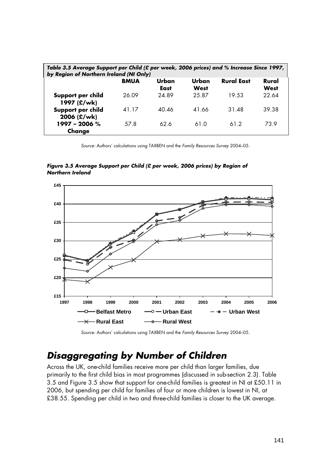| Table 3.5 Average Support per Child (£ per week, 2006 prices) and % Increase Since 1997,<br>by Region of Northern Ireland (NI Only) |             |               |               |                   |               |
|-------------------------------------------------------------------------------------------------------------------------------------|-------------|---------------|---------------|-------------------|---------------|
|                                                                                                                                     | <b>BMUA</b> | Urban<br>East | Urban<br>West | <b>Rural East</b> | Rural<br>West |
| Support per child<br>1997 (£/wk)                                                                                                    | 26.09       | 24.89         | 25.87         | 19.53             | 22.64         |
| Support per child<br>2006 (£/wk)                                                                                                    | 41.17       | 40.46         | 41.66         | 31.48             | 39.38         |
| $1997 - 2006 %$<br>Change                                                                                                           | 57.8        | 62.6          | 61.0          | 61.2              | 73.9          |

*Source:* Authors' calculations using TAXBEN and the *Family Resources Survey* 2004–05.

*Figure 3.5 Average Support per Child (£ per week, 2006 prices) by Region of Northern Ireland* 



*Source:* Authors' calculations using TAXBEN and the *Family Resources Survey* 2004–05.

### *Disaggregating by Number of Children*

Across the UK, one-child families receive more per child than larger families, due primarily to the first child bias in most programmes (discussed in sub-section 2.3). Table 3.5 and Figure 3.5 show that support for one-child families is greatest in NI at £50.11 in 2006, but spending per child for families of four or more children is lowest in NI, at £38.55. Spending per child in two and three-child families is closer to the UK average.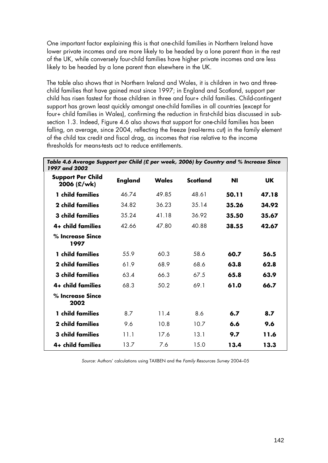One important factor explaining this is that one-child families in Northern Ireland have lower private incomes and are more likely to be headed by a lone parent than in the rest of the UK, while conversely four-child families have higher private incomes and are less likely to be headed by a lone parent than elsewhere in the UK.

The table also shows that in Northern Ireland and Wales, it is children in two and threechild families that have gained most since 1997; in England and Scotland, support per child has risen fastest for those children in three and four+ child families. Child-contingent support has grown least quickly amongst one-child families in all countries (except for four+ child families in Wales), confirming the reduction in first-child bias discussed in subsection 1.3. Indeed, Figure 4.6 also shows that support for one-child families has been falling, on average, since 2004, reflecting the freeze (real-terms cut) in the family element of the child tax credit and fiscal drag, as incomes that rise relative to the income thresholds for means-tests act to reduce entitlements.

| Table 4.6 Average Support per Child (£ per week, 2006) by Country and % Increase Since<br>1997 and 2002 |                |       |                 |       |           |
|---------------------------------------------------------------------------------------------------------|----------------|-------|-----------------|-------|-----------|
| <b>Support Per Child</b><br>2006 (£/wk)                                                                 | <b>England</b> | Wales | <b>Scotland</b> | ΝI    | <b>UK</b> |
| 1 child families                                                                                        | 46.74          | 49.85 | 48.61           | 50.11 | 47.18     |
| 2 child families                                                                                        | 34.82          | 36.23 | 35.14           | 35.26 | 34.92     |
| <b>3 child families</b>                                                                                 | 35.24          | 41.18 | 36.92           | 35.50 | 35.67     |
| 4+ child families                                                                                       | 42.66          | 47.80 | 40.88           | 38.55 | 42.67     |
| % Increase Since<br>1997                                                                                |                |       |                 |       |           |
| 1 child families                                                                                        | 55.9           | 60.3  | 58.6            | 60.7  | 56.5      |
| 2 child families                                                                                        | 61.9           | 68.9  | 68.6            | 63.8  | 62.8      |
| <b>3 child families</b>                                                                                 | 63.4           | 66.3  | 67.5            | 65.8  | 63.9      |
| 4+ child families                                                                                       | 68.3           | 50.2  | 69.1            | 61.0  | 66.7      |
| % Increase Since<br>2002                                                                                |                |       |                 |       |           |
| 1 child families                                                                                        | 8.7            | 11.4  | 8.6             | 6.7   | 8.7       |
| 2 child families                                                                                        | 9.6            | 10.8  | 10.7            | 6.6   | 9.6       |
| 3 child families                                                                                        | 11.1           | 17.6  | 13.1            | 9.7   | 11.6      |
| 4+ child families                                                                                       | 13.7           | 7.6   | 15.0            | 13.4  | 13.3      |

*Source:* Authors' calculations using TAXBEN and the *Family Resources Survey* 2004–05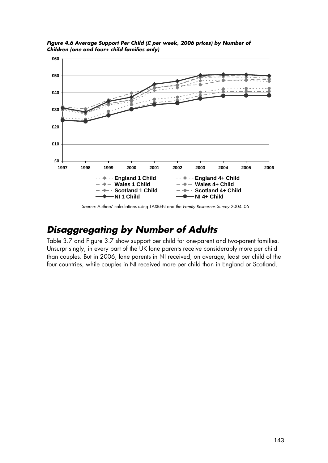

*Figure 4.6 Average Support Per Child (£ per week, 2006 prices) by Number of Children (one and four+ child families only)* 

*Source:* Authors' calculations using TAXBEN and the *Family Resources Survey* 2004–05

#### *Disaggregating by Number of Adults*

Table 3.7 and Figure 3.7 show support per child for one-parent and two-parent families. Unsurprisingly, in every part of the UK lone parents receive considerably more per child than couples. But in 2006, lone parents in NI received, on average, least per child of the four countries, while couples in NI received more per child than in England or Scotland.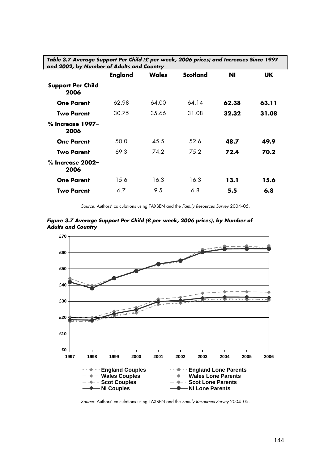| Table 3.7 Average Support Per Child (£ per week, 2006 prices) and Increases Since 1997<br>and 2002, by Number of Adults and Country |         |              |          |           |       |
|-------------------------------------------------------------------------------------------------------------------------------------|---------|--------------|----------|-----------|-------|
|                                                                                                                                     | England | <b>Wales</b> | Scotland | <b>NI</b> | UK.   |
| <b>Support Per Child</b><br>2006                                                                                                    |         |              |          |           |       |
| <b>One Parent</b>                                                                                                                   | 62.98   | 64.00        | 64.14    | 62.38     | 63.11 |
| <b>Two Parent</b>                                                                                                                   | 30.75   | 35.66        | 31.08    | 32.32     | 31.08 |
| % Increase 1997-<br>2006                                                                                                            |         |              |          |           |       |
| <b>One Parent</b>                                                                                                                   | 50.0    | 45.5         | 52.6     | 48.7      | 49.9  |
| <b>Two Parent</b>                                                                                                                   | 69.3    | 74.2         | 75.2     | 72.4      | 70.2  |
| % Increase 2002-<br>2006                                                                                                            |         |              |          |           |       |
| <b>One Parent</b>                                                                                                                   | 15.6    | 16.3         | 16.3     | 13.1      | 15.6  |
| <b>Two Parent</b>                                                                                                                   | 6.7     | 9.5          | 6.8      | 5.5       | 6.8   |

*Source:* Authors' calculations using TAXBEN and the *Family Resources Survey* 2004–05.





*Source:* Authors' calculations using TAXBEN and the *Family Resources Survey* 2004–05.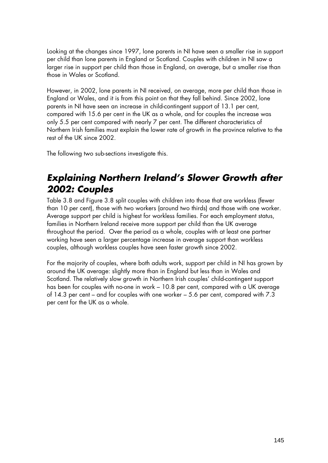Looking at the changes since 1997, lone parents in NI have seen a smaller rise in support per child than lone parents in England or Scotland. Couples with children in NI saw a larger rise in support per child than those in England, on average, but a smaller rise than those in Wales or Scotland.

However, in 2002, lone parents in NI received, on average, more per child than those in England or Wales, and it is from this point on that they fall behind. Since 2002, lone parents in NI have seen an increase in child-contingent support of 13.1 per cent, compared with 15.6 per cent in the UK as a whole, and for couples the increase was only 5.5 per cent compared with nearly 7 per cent. The different characteristics of Northern Irish families must explain the lower rate of growth in the province relative to the rest of the UK since 2002.

The following two sub-sections investigate this.

#### *Explaining Northern Ireland's Slower Growth after 2002: Couples*

Table 3.8 and Figure 3.8 split couples with children into those that are workless (fewer than 10 per cent), those with two workers (around two thirds) and those with one worker. Average support per child is highest for workless families. For each employment status, families in Northern Ireland receive more support per child than the UK average throughout the period. Over the period as a whole, couples with at least one partner working have seen a larger percentage increase in average support than workless couples, although workless couples have seen faster growth since 2002.

For the majority of couples, where both adults work, support per child in NI has grown by around the UK average: slightly more than in England but less than in Wales and Scotland. The relatively slow growth in Northern Irish couples' child-contingent support has been for couples with no-one in work – 10.8 per cent, compared with a UK average of 14.3 per cent – and for couples with one worker – 5.6 per cent, compared with 7.3 per cent for the UK as a whole.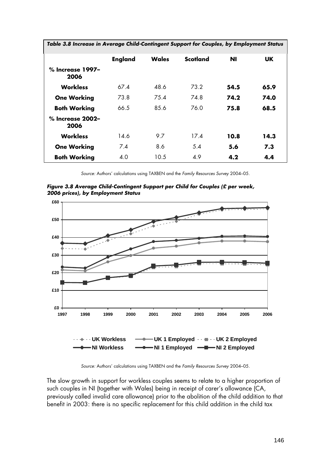| Table 3.8 Increase in Average Child-Contingent Support for Couples, by Employment Status |                |       |                 |           |      |
|------------------------------------------------------------------------------------------|----------------|-------|-----------------|-----------|------|
|                                                                                          | <b>England</b> | Wales | <b>Scotland</b> | <b>NI</b> | UK.  |
| % Increase 1997-<br>2006                                                                 |                |       |                 |           |      |
| <b>Workless</b>                                                                          | 67.4           | 48.6  | 73.2            | 54.5      | 65.9 |
| <b>One Working</b>                                                                       | 73.8           | 75.4  | 74.8            | 74.2      | 74.0 |
| <b>Both Working</b>                                                                      | 66.5           | 85.6  | 76.0            | 75.8      | 68.5 |
| $%$ Increase 2002–<br>2006                                                               |                |       |                 |           |      |
| <b>Workless</b>                                                                          | 14.6           | 9.7   | 17.4            | 10.8      | 14.3 |
| <b>One Working</b>                                                                       | 7.4            | 8.6   | 5.4             | 5.6       | 7.3  |
| <b>Both Working</b>                                                                      | 4.0            | 10.5  | 4.9             | 4.2       | 4.4  |

*Source:* Authors' calculations using TAXBEN and the *Family Resources Survey* 2004–05.

*Figure 3.8 Average Child-Contingent Support per Child for Couples (£ per week, 2006 prices), by Employment Status* 



*Source:* Authors' calculations using TAXBEN and the *Family Resources Survey* 2004–05.

The slow growth in support for workless couples seems to relate to a higher proportion of such couples in NI (together with Wales) being in receipt of carer's allowance (CA, previously called invalid care allowance) prior to the abolition of the child addition to that benefit in 2003: there is no specific replacement for this child addition in the child tax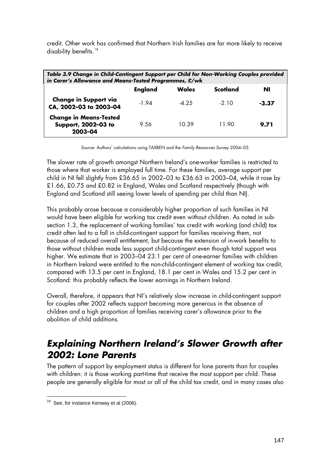credit. Other work has confirmed that Northern Irish families are far more likely to receive disability benefits.<sup>[18](#page-41-0)</sup>

| Table 3.9 Change in Child-Contingent Support per Child for Non-Working Couples provided<br>in Carer's Allowance and Means-Tested Programmes, £/wk |                |        |          |       |
|---------------------------------------------------------------------------------------------------------------------------------------------------|----------------|--------|----------|-------|
|                                                                                                                                                   | <b>England</b> | Wales  | Scotland | NI    |
| <b>Change in Support via</b><br>CA, 2002-03 to 2003-04                                                                                            | -1 94          | $-425$ | $-210$   | -3.37 |
| <b>Change in Means-Tested</b><br>Support, 2002-03 to<br>2003-04                                                                                   | 9.56           | 10.39  | 1190     | 9.71  |

*Source:* Authors' calculations using TAXBEN and the *Family Resources Survey* 2004–05.

The slower rate of growth amongst Northern Ireland's one-worker families is restricted to those where that worker is employed full time. For these families, average support per child in NI fell slightly from £36.65 in 2002–03 to £36.63 in 2003–04, while it rose by £1.66, £0.75 and £0.82 in England, Wales and Scotland respectively (though with England and Scotland still seeing lower levels of spending per child than NI).

This probably arose because a considerably higher proportion of such families in NI would have been eligible for working tax credit even without children. As noted in subsection 1.3, the replacement of working families' tax credit with working (and child) tax credit often led to a fall in child-contingent support for families receiving them, not because of reduced overall entitlement, but because the extension of in-work benefits to those without children made less support child-contingent even though total support was higher. We estimate that in 2003–04 23.1 per cent of one-earner families with children in Northern Ireland were entitled to the non-child-contingent element of working tax credit, compared with 13.5 per cent in England, 18.1 per cent in Wales and 15.2 per cent in Scotland: this probably reflects the lower earnings in Northern Ireland.

Overall, therefore, it appears that NI's relatively slow increase in child-contingent support for couples after 2002 reflects support becoming more generous in the absence of children and a high proportion of families receiving carer's allowance prior to the abolition of child additions.

#### *Explaining Northern Ireland's Slower Growth after 2002: Lone Parents*

The pattern of support by employment status is different for lone parents than for couples with children: it is those working part-time that receive the most support per child. These people are generally eligible for most or all of the child tax credit, and in many cases also

-

<span id="page-41-0"></span> $18$  See, for instance Kenway et al (2006).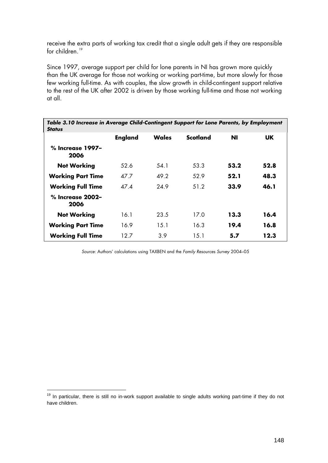receive the extra parts of working tax credit that a single adult gets if they are responsible for children.<sup>[19](#page-42-0)</sup>

Since 1997, average support per child for lone parents in NI has grown more quickly than the UK average for those not working or working part-time, but more slowly for those few working full-time. As with couples, the slow growth in child-contingent support relative to the rest of the UK after 2002 is driven by those working full-time and those not working at all.

| Table 3.10 Increase in Average Child-Contingent Support for Lone Parents, by Employment<br><b>Status</b> |                |       |          |      |      |
|----------------------------------------------------------------------------------------------------------|----------------|-------|----------|------|------|
|                                                                                                          | <b>England</b> | Wales | Scotland | Νl   | UK.  |
| % Increase 1997-<br>2006                                                                                 |                |       |          |      |      |
| <b>Not Working</b>                                                                                       | 52.6           | 54.1  | 53.3     | 53.2 | 52.8 |
| <b>Working Part Time</b>                                                                                 | 47.7           | 49.2  | 52.9     | 52.1 | 48.3 |
| <b>Working Full Time</b>                                                                                 | 47.4           | 24.9  | 51.2     | 33.9 | 46.1 |
| % Increase 2002-<br>2006                                                                                 |                |       |          |      |      |
| <b>Not Working</b>                                                                                       | 16.1           | 23.5  | 17.0     | 13.3 | 16.4 |
| <b>Working Part Time</b>                                                                                 | 16.9           | 15.1  | 16.3     | 19.4 | 16.8 |
| <b>Working Full Time</b>                                                                                 | 12.7           | 3.9   | 15.1     | 5.7  | 12.3 |

*Source:* Authors' calculations using TAXBEN and the *Family Resources Survey* 2004–05

-

<span id="page-42-0"></span> $19$  In particular, there is still no in-work support available to single adults working part-time if they do not have children.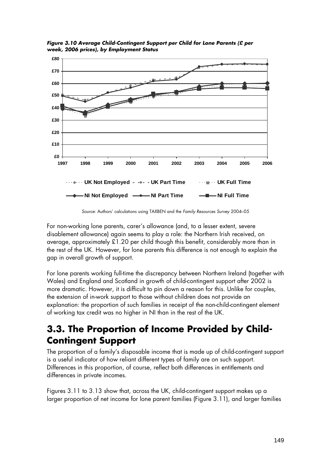

*Figure 3.10 Average Child-Contingent Support per Child for Lone Parents (£ per week, 2006 prices), by Employment Status* 

*Source:* Authors' calculations using TAXBEN and the *Family Resources Survey* 2004–05

For non-working lone parents, carer's allowance (and, to a lesser extent, severe disablement allowance) again seems to play a role: the Northern Irish received, on average, approximately £1.20 per child though this benefit, considerably more than in the rest of the UK. However, for lone parents this difference is not enough to explain the gap in overall growth of support.

For lone parents working full-time the discrepancy between Northern Ireland (together with Wales) and England and Scotland in growth of child-contingent support after 2002 is more dramatic. However, it is difficult to pin down a reason for this. Unlike for couples, the extension of in-work support to those without children does not provide an explanation: the proportion of such families in receipt of the non-child-contingent element of working tax credit was no higher in NI than in the rest of the UK.

#### **3.3. The Proportion of Income Provided by Child-Contingent Support**

The proportion of a family's disposable income that is made up of child-contingent support is a useful indicator of how reliant different types of family are on such support. Differences in this proportion, of course, reflect both differences in entitlements and differences in private incomes.

Figures 3.11 to 3.13 show that, across the UK, child-contingent support makes up a larger proportion of net income for lone parent families (Figure 3.11), and larger families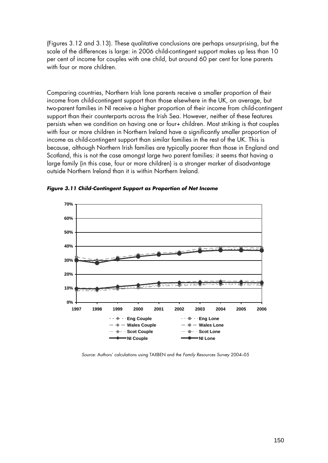(Figures 3.12 and 3.13). These qualitative conclusions are perhaps unsurprising, but the scale of the differences is large: in 2006 child-contingent support makes up less than 10 per cent of income for couples with one child, but around 60 per cent for lone parents with four or more children.

Comparing countries, Northern Irish lone parents receive a smaller proportion of their income from child-contingent support than those elsewhere in the UK, on average, but two-parent families in NI receive a higher proportion of their income from child-contingent support than their counterparts across the Irish Sea. However, neither of these features persists when we condition on having one or four+ children. Most striking is that couples with four or more children in Northern Ireland have a significantly smaller proportion of income as child-contingent support than similar families in the rest of the UK. This is because, although Northern Irish families are typically poorer than those in England and Scotland, this is not the case amongst large two parent families: it seems that having a large family (in this case, four or more children) is a stronger marker of disadvantage outside Northern Ireland than it is within Northern Ireland.



*Figure 3.11 Child-Contingent Support as Proportion of Net Income* 

*Source:* Authors' calculations using TAXBEN and the *Family Resources Survey* 2004–05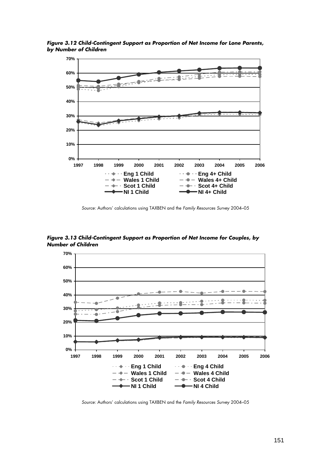

*Figure 3.12 Child-Contingent Support as Proportion of Net Income for Lone Parents, by Number of Children* 

*Source:* Authors' calculations using TAXBEN and the *Family Resources Survey* 2004–05

*Figure 3.13 Child-Contingent Support as Proportion of Net Income for Couples, by Number of Children* 



*Source:* Authors' calculations using TAXBEN and the *Family Resources Survey* 2004–05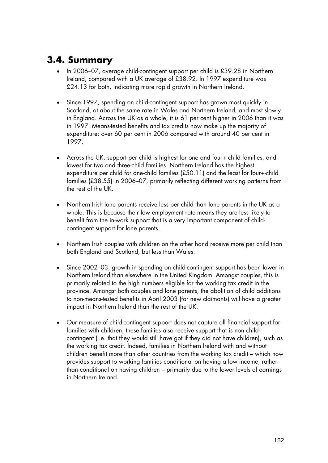#### **3.4. Summary**

- In 2006–07, average child-contingent support per child is £39.28 in Northern Ireland, compared with a UK average of £38.92. In 1997 expenditure was £24.13 for both, indicating more rapid growth in Northern Ireland.
- Since 1997, spending on child-contingent support has grown most quickly in Scotland, at about the same rate in Wales and Northern Ireland, and most slowly in England. Across the UK as a whole, it is 61 per cent higher in 2006 than it was in 1997. Means-tested benefits and tax credits now make up the majority of expenditure: over 60 per cent in 2006 compared with around 40 per cent in 1997.
- Across the UK, support per child is highest for one and four+ child families, and lowest for two and three-child families. Northern Ireland has the highest expenditure per child for one-child families (£50.11) and the least for four+-child families (£38.55) in 2006–07, primarily reflecting different working patterns from the rest of the UK.
- Northern Irish lone parents receive less per child than lone parents in the UK as a whole. This is because their low employment rate means they are less likely to benefit from the in-work support that is a very important component of childcontingent support for lone parents.
- Northern Irish couples with children on the other hand receive more per child than both England and Scotland, but less than Wales.
- Since 2002–03, growth in spending on child-contingent support has been lower in Northern Ireland than elsewhere in the United Kingdom. Amongst couples, this is primarily related to the high numbers eligible for the working tax credit in the province. Amongst both couples and lone parents, the abolition of child additions to non-means-tested benefits in April 2003 (for new claimants) will have a greater impact in Northern Ireland than the rest of the UK.
- Our measure of child-contingent support does not capture all financial support for families with children; these families also receive support that is non childcontingent (i.e. that they would still have got if they did not have children), such as the working tax credit. Indeed, families in Northern Ireland with and without children benefit more than other countries from the working tax credit – which now provides support to working families conditional on having a low income, rather than conditional on having children – primarily due to the lower levels of earnings in Northern Ireland.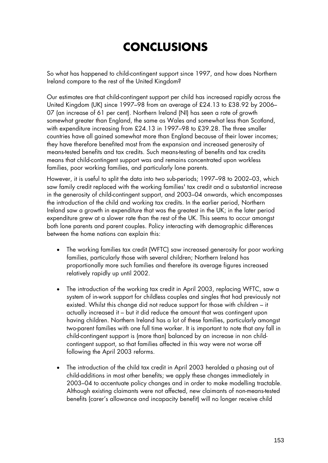# **CONCLUSIONS**

So what has happened to child-contingent support since 1997, and how does Northern Ireland compare to the rest of the United Kingdom?

Our estimates are that child-contingent support per child has increased rapidly across the United Kingdom (UK) since 1997–98 from an average of £24.13 to £38.92 by 2006– 07 (an increase of 61 per cent). Northern Ireland (NI) has seen a rate of growth somewhat greater than England, the same as Wales and somewhat less than Scotland, with expenditure increasing from £24.13 in 1997–98 to £39.28. The three smaller countries have all gained somewhat more than England because of their lower incomes; they have therefore benefited most from the expansion and increased generosity of means-tested benefits and tax credits. Such means-testing of benefits and tax credits means that child-contingent support was and remains concentrated upon workless families, poor working families, and particularly lone parents.

However, it is useful to split the data into two sub-periods; 1997–98 to 2002–03, which saw family credit replaced with the working families' tax credit and a substantial increase in the generosity of child-contingent support, and 2003–04 onwards, which encompasses the introduction of the child and working tax credits. In the earlier period, Northern Ireland saw a growth in expenditure that was the greatest in the UK; in the later period expenditure grew at a slower rate than the rest of the UK. This seems to occur amongst both lone parents and parent couples. Policy interacting with demographic differences between the home nations can explain this:

- The working families tax credit (WFTC) saw increased generosity for poor working families, particularly those with several children; Northern Ireland has proportionally more such families and therefore its average figures increased relatively rapidly up until 2002.
- The introduction of the working tax credit in April 2003, replacing WFTC, saw a system of in-work support for childless couples and singles that had previously not existed. Whilst this change did not reduce support for those with children – it actually increased it – but it did reduce the amount that was contingent upon having children. Northern Ireland has a lot of these families, particularly amongst two-parent families with one full time worker. It is important to note that any fall in child-contingent support is (more than) balanced by an increase in non childcontingent support, so that families affected in this way were not worse off following the April 2003 reforms.
- The introduction of the child tax credit in April 2003 heralded a phasing out of child-additions in most other benefits; we apply these changes immediately in 2003–04 to accentuate policy changes and in order to make modelling tractable. Although existing claimants were not affected, new claimants of non-means-tested benefits (carer's allowance and incapacity benefit) will no longer receive child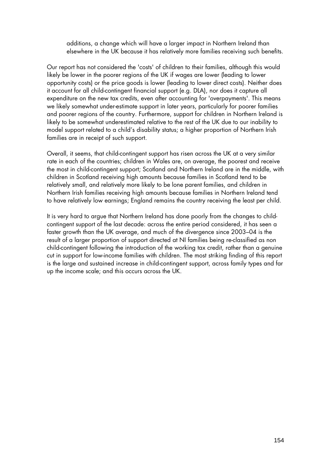additions, a change which will have a larger impact in Northern Ireland than elsewhere in the UK because it has relatively more families receiving such benefits.

Our report has not considered the 'costs' of children to their families, although this would likely be lower in the poorer regions of the UK if wages are lower (leading to lower opportunity costs) or the price goods is lower (leading to lower direct costs). Neither does it account for all child-contingent financial support (e.g. DLA), nor does it capture all expenditure on the new tax credits, even after accounting for 'overpayments'. This means we likely somewhat under-estimate support in later years, particularly for poorer families and poorer regions of the country. Furthermore, support for children in Northern Ireland is likely to be somewhat underestimated relative to the rest of the UK due to our inability to model support related to a child's disability status; a higher proportion of Northern Irish families are in receipt of such support.

Overall, it seems, that child-contingent support has risen across the UK at a very similar rate in each of the countries; children in Wales are, on average, the poorest and receive the most in child-contingent support; Scotland and Northern Ireland are in the middle, with children in Scotland receiving high amounts because families in Scotland tend to be relatively small, and relatively more likely to be lone parent families, and children in Northern Irish families receiving high amounts because families in Northern Ireland tend to have relatively low earnings; England remains the country receiving the least per child.

It is very hard to argue that Northern Ireland has done poorly from the changes to childcontingent support of the last decade: across the entire period considered, it has seen a faster growth than the UK average, and much of the divergence since 2003–04 is the result of a larger proportion of support directed at NI families being re-classified as non child-contingent following the introduction of the working tax credit, rather than a genuine cut in support for low-income families with children. The most striking finding of this report is the large and sustained increase in child-contingent support, across family types and far up the income scale; and this occurs across the UK.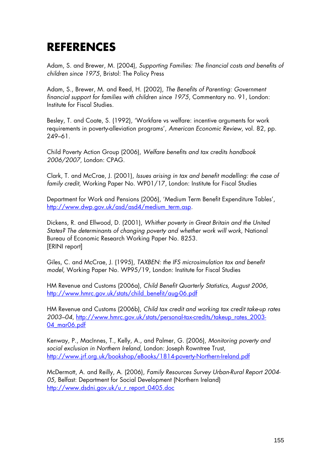### **REFERENCES**

Adam, S. and Brewer, M. (2004), *Supporting Families: The financial costs and benefits of children since 1975*, Bristol: The Policy Press

Adam, S., Brewer, M. and Reed, H. (2002), *The Benefits of Parenting: Government financial support for families with children since 1975*, Commentary no. 91, London: Institute for Fiscal Studies.

Besley, T. and Coate, S. (1992), 'Workfare vs welfare: incentive arguments for work requirements in poverty-alleviation programs', *American Economic Review*, vol. 82, pp. 249–61.

Child Poverty Action Group (2006), *Welfare benefits and tax credits handbook 2006/2007*, London: CPAG.

Clark, T. and McCrae, J. (2001), *Issues arising in tax and benefit modelling: the case of family credit*, Working Paper No. WP01/17, London: Institute for Fiscal Studies

Department for Work and Pensions (2006), 'Medium Term Benefit Expenditure Tables', [http://www.dwp.gov.uk/asd/asd4/medium\\_term.asp.](http://www.dwp.gov.uk/asd/asd4/medium_term.asp)

Dickens, R. and Ellwood, D. (2001), *Whither poverty in Great Britain and the United States? The determinants of changing poverty and whether work will work*, National Bureau of Economic Research Working Paper No. 8253. [ERINI report]

Giles, C. and McCrae, J. (1995), *TAXBEN: the IFS microsimulation tax and benefit model*, Working Paper No. WP95/19, London: Institute for Fiscal Studies

HM Revenue and Customs (2006a), *Child Benefit Quarterly Statistics, August 2006*, [http://www.hmrc.gov.uk/stats/child\\_benefit/aug-06.pdf](http://www.hmrc.gov.uk/stats/child_benefit/aug-06.pdf)

HM Revenue and Customs (2006b), *Child tax credit and working tax credit take-up rates 2003–04*, [http://www.hmrc.gov.uk/stats/personal-tax-credits/takeup\\_rates\\_2003-](http://www.hmrc.gov.uk/stats/personal-tax-credits/takeup_rates_2003-04_mar06.pdf) 04 mar06.pdf

Kenway, P., MacInnes, T., Kelly, A., and Palmer, G. (2006), *Monitoring poverty and social exclusion in Northern Ireland*, London: Joseph Rowntree Trust, <http://www.jrf.org.uk/bookshop/eBooks/1814-poverty-Northern-Ireland.pdf>

McDermott, A. and Reilly, A. (2006), *Family Resources Survey Urban-Rural Report 2004- 05,* Belfast: Department for Social Development (Northern Ireland) [http://www.dsdni.gov.uk/u\\_r\\_report\\_0405.doc](http://www.dsdni.gov.uk/u_r_report_0405.doc)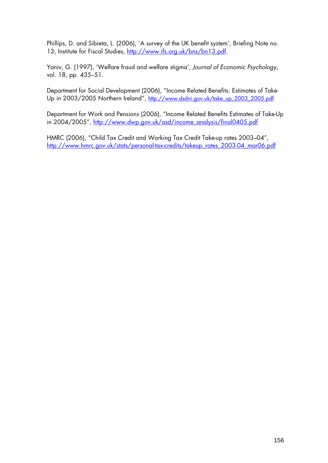Phillips, D. and Sibieta, L. (2006), 'A survey of the UK benefit system', Briefing Note no. 13, Institute for Fiscal Studies,<http://www.ifs.org.uk/bns/bn13.pdf>.

Yaniv, G. (1997), 'Welfare fraud and welfare stigma', *Journal of Economic Psychology*, vol. 18, pp. 435–51.

Department for Social Development (2006), "Income Related Benefits: Estimates of TakeUp in 2003/2005 Northern Ireland", [http://www.dsdni.gov.uk/take\\_up\\_2003\\_2005.pdf](http://www.dsdni.gov.uk/take_up_2003_2005.pdf)

Department for Work and Pensions (2006), "Income Related Benefits Estimates of Take-Up in 2004/2005", [http://www.dwp.gov.uk/asd/income\\_analysis/final0405.pdf](http://www.dwp.gov.uk/asd/income_analysis/final0405.pdf)

HMRC (2006), "Child Tax Credit and Working Tax Credit Take-up rates 2003–04", [http://www.hmrc.gov.uk/stats/personal-tax-credits/takeup\\_rates\\_2003-04\\_mar06.pdf](http://www.hmrc.gov.uk/stats/personal-tax-credits/takeup_rates_2003-04_mar06.pdf)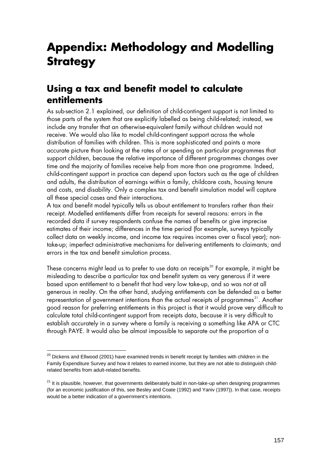# **Appendix: Methodology and Modelling Strategy**

#### **Using a tax and benefit model to calculate entitlements**

As sub-section 2.1 explained, our definition of child-contingent support is not limited to those parts of the system that are explicitly labelled as being child-related; instead, we include any transfer that an otherwise-equivalent family without children would not receive. We would also like to model child-contingent support across the whole distribution of families with children. This is more sophisticated and paints a more accurate picture than looking at the rates of or spending on particular programmes that support children, because the relative importance of different programmes changes over time and the majority of families receive help from more than one programme. Indeed, child-contingent support in practice can depend upon factors such as the age of children and adults, the distribution of earnings within a family, childcare costs, housing tenure and costs, and disability. Only a complex tax and benefit simulation model will capture all these special cases and their interactions.

A tax and benefit model typically tells us about entitlement to transfers rather than their receipt. Modelled entitlements differ from receipts for several reasons: errors in the recorded data if survey respondents confuse the names of benefits or give imprecise estimates of their income; differences in the time period (for example, surveys typically collect data on weekly income, and income tax requires incomes over a fiscal year); nontake-up; imperfect administrative mechanisms for delivering entitlements to claimants; and errors in the tax and benefit simulation process.

These concerns might lead us to prefer to use data on receipts<sup>[20](#page-51-0)</sup> For example, it might be misleading to describe a particular tax and benefit system as very generous if it were based upon entitlement to a benefit that had very low take-up, and so was not at all generous in reality. On the other hand, studying entitlements can be defended as a better representation of government intentions than the actual receipts of programmes<sup>[21](#page-51-1)</sup>. Another good reason for preferring entitlements in this project is that it would prove very difficult to calculate total child-contingent support from receipts data, because it is very difficult to establish accurately in a survey where a family is receiving a something like APA or CTC through PAYE. It would also be almost impossible to separate out the proportion of a

 $\overline{a}$ 

<span id="page-51-0"></span> $20$  Dickens and Ellwood (2001) have examined trends in benefit receipt by families with children in the Family Expenditure Survey and how it relates to earned income, but they are not able to distinguish childrelated benefits from adult-related benefits.

<span id="page-51-1"></span> $21$  It is plausible, however, that governments deliberately build in non-take-up when designing programmes (for an economic justification of this, see Besley and Coate (1992) and Yaniv (1997)). In that case, receipts would be a better indication of a government's intentions.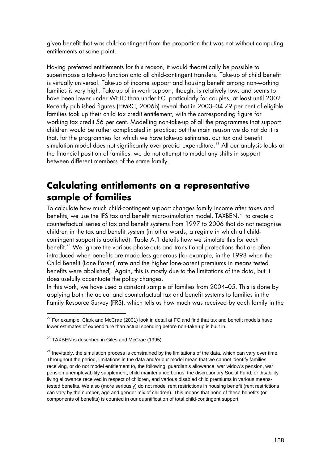given benefit that was child-contingent from the proportion that was not without computing entitlements at some point.

Having preferred entitlements for this reason, it would theoretically be possible to superimpose a take-up function onto all child-contingent transfers. Take-up of child benefit is virtually universal. Take-up of income support and housing benefit among non-working families is very high. Take-up of in-work support, though, is relatively low, and seems to have been lower under WFTC than under FC, particularly for couples, at least until 2002. Recently published figures (HMRC, 2006b) reveal that in 2003–04 79 per cent of eligible families took up their child tax credit entitlement, with the corresponding figure for working tax credit 56 per cent. Modelling non-take-up of all the programmes that support children would be rather complicated in practice; but the main reason we do not do it is that, for the programmes for which we have take-up estimates, our tax and benefit simulation model does not significantly over-predict expenditure.<sup>[22](#page-52-0)</sup> All our analysis looks at the financial position of families: we do not attempt to model any shifts in support between different members of the same family.

#### **Calculating entitlements on a representative sample of families**

To calculate how much child-contingent support changes family income after taxes and benefits, we use the IFS tax and benefit micro-simulation model, TAXBEN,<sup>[23](#page-52-1)</sup> to create a counterfactual series of tax and benefit systems from 1997 to 2006 that do not recognise children in the tax and benefit system (in other words, a regime in which all childcontingent support is abolished). Table A.1 details how we simulate this for each benefit.<sup>[24](#page-52-2)</sup> We ignore the various phase-outs and transitional protections that are often introduced when benefits are made less generous (for example, in the 1998 when the Child Benefit (Lone Parent) rate and the higher lone-parent premiums in means tested benefits were abolished). Again, this is mostly due to the limitations of the data, but it does usefully accentuate the policy changes.

In this work, we have used a constant sample of families from 2004–05. This is done by applying both the actual and counterfactual tax and benefit systems to families in the Family Resource Survey (FRS), which tells us how much was received by each family in the

-

<span id="page-52-0"></span> $^{22}$  For example, Clark and McCrae (2001) look in detail at FC and find that tax and benefit models have lower estimates of expenditure than actual spending before non-take-up is built in.

<span id="page-52-1"></span><sup>&</sup>lt;sup>23</sup> TAXBEN is described in Giles and McCrae (1995)

<span id="page-52-2"></span> $^{24}$  Inevitably, the simulation process is constrained by the limitations of the data, which can vary over time. Throughout the period, limitations in the data and/or our model mean that we cannot identify families receiving, or do not model entitlement to, the following: guardian's allowance, war widow's pension, war pension unemployability supplement, child maintenance bonus, the discretionary Social Fund, or disability living allowance received in respect of children, and various disabled child premiums in various meanstested benefits. We also (more seriously) do not model rent restrictions in housing benefit (rent restrictions can vary by the number, age and gender mix of children). This means that none of these benefits (or components of benefits) is counted in our quantification of total child-contingent support.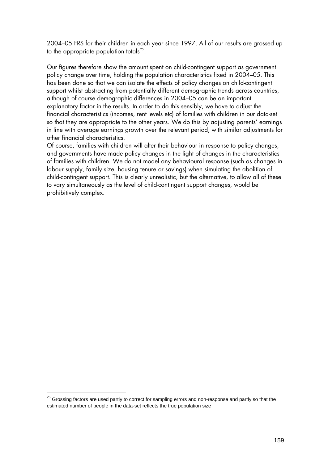2004–05 FRS for their children in each year since 1997. All of our results are grossed up to the appropriate population totals $^{25}$  $^{25}$  $^{25}$ .

Our figures therefore show the amount spent on child-contingent support as government policy change over time, holding the population characteristics fixed in 2004–05. This has been done so that we can isolate the effects of policy changes on child-contingent support whilst abstracting from potentially different demographic trends across countries, although of course demographic differences in 2004–05 can be an important explanatory factor in the results. In order to do this sensibly, we have to adjust the financial characteristics (incomes, rent levels etc) of families with children in our data-set so that they are appropriate to the other years. We do this by adjusting parents' earnings in line with average earnings growth over the relevant period, with similar adjustments for other financial characteristics.

Of course, families with children will alter their behaviour in response to policy changes, and governments have made policy changes in the light of changes in the characteristics of families with children. We do not model any behavioural response (such as changes in labour supply, family size, housing tenure or savings) when simulating the abolition of child-contingent support. This is clearly unrealistic, but the alternative, to allow all of these to vary simultaneously as the level of child-contingent support changes, would be prohibitively complex.

-

<span id="page-53-0"></span><sup>&</sup>lt;sup>25</sup> Grossing factors are used partly to correct for sampling errors and non-response and partly so that the estimated number of people in the data-set reflects the true population size